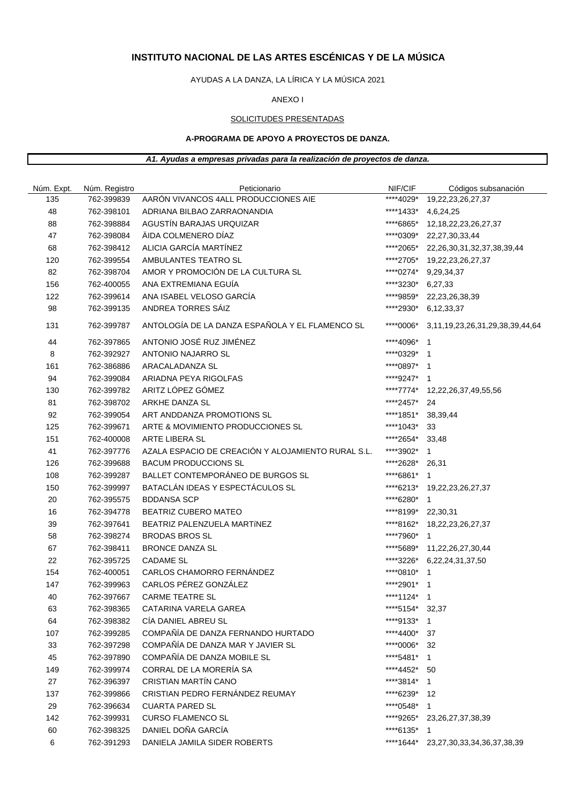# **INSTITUTO NACIONAL DE LAS ARTES ESCÉNICAS Y DE LA MÚSICA**

AYUDAS A LA DANZA, LA LÍRICA Y LA MÚSICA 2021

#### ANEXO I

#### SOLICITUDES PRESENTADAS

### **A-PROGRAMA DE APOYO A PROYECTOS DE DANZA.**

#### *A1. Ayudas a empresas privadas para la realización de proyectos de danza.*

| Núm. Expt. | Núm. Registro | Peticionario                                       | NIF/CIF            | Códigos subsanación                  |
|------------|---------------|----------------------------------------------------|--------------------|--------------------------------------|
| 135        | 762-399839    | AARÓN VIVANCOS 4ALL PRODUCCIONES AIE               | ****4029*          | 19,22,23,26,27,37                    |
| 48         | 762-398101    | ADRIANA BILBAO ZARRAONANDIA                        | ****1433*          | 4,6,24,25                            |
| 88         | 762-398884    | AGUSTÍN BARAJAS URQUIZAR                           | ****6865*          | 12, 18, 22, 23, 26, 27, 37           |
| 47         | 762-398084    | ÄIDA COLMENERO DÍAZ                                | ****0309*          | 22, 27, 30, 33, 44                   |
| 68         | 762-398412    | ALICIA GARCÍA MARTÍNEZ                             |                    | ****2065* 22,26,30,31,32,37,38,39,44 |
| 120        | 762-399554    | AMBULANTES TEATRO SL                               |                    | ****2705* 19,22,23,26,27,37          |
| 82         | 762-398704    | AMOR Y PROMOCIÓN DE LA CULTURA SL                  | ****0274*          | 9,29,34,37                           |
| 156        | 762-400055    | ANA EXTREMIANA EGUÍA                               | ****3230*          | 6,27,33                              |
| 122        | 762-399614    | ANA ISABEL VELOSO GARCÍA                           | ****9859*          | 22,23,26,38,39                       |
| 98         | 762-399135    | ANDREA TORRES SÁIZ                                 | *****2930*         | 6,12,33,37                           |
| 131        | 762-399787    | ANTOLOGÍA DE LA DANZA ESPAÑOLA Y EL FLAMENCO SL    | ****0006*          | 3,11,19,23,26,31,29,38,39,44,64      |
| 44         | 762-397865    | ANTONIO JOSÉ RUZ JIMÉNEZ                           | ****4096*          | $\overline{1}$                       |
| 8          | 762-392927    | ANTONIO NAJARRO SL                                 | ****0329* 1        |                                      |
| 161        | 762-386886    | ARACALADANZA SL                                    | ****0897* 1        |                                      |
| 94         | 762-399084    | ARIADNA PEYA RIGOLFAS                              | ****9247* 1        |                                      |
| 130        | 762-399782    | ARITZ LÓPEZ GÓMEZ                                  |                    | ****7774* 12,22,26,37,49,55,56       |
| 81         | 762-398702    | ARKHE DANZA SL                                     | ****2457*          | 24                                   |
| 92         | 762-399054    | ART ANDDANZA PROMOTIONS SL                         | ****1851*          | 38,39,44                             |
| 125        | 762-399671    | ARTE & MOVIMIENTO PRODUCCIONES SL                  | ****1043*          | 33                                   |
| 151        | 762-400008    | ARTE LIBERA SL                                     | *****2654*         | 33,48                                |
| 41         | 762-397776    | AZALA ESPACIO DE CREACIÓN Y ALOJAMIENTO RURAL S.L. | ****3902*          | $\mathbf 1$                          |
| 126        | 762-399688    | <b>BACUM PRODUCCIONS SL</b>                        | ****2628*          | 26,31                                |
| 108        | 762-399287    | BALLET CONTEMPORÁNEO DE BURGOS SL                  | ****6861*          | $\overline{1}$                       |
| 150        | 762-399997    | BATACLÁN IDEAS Y ESPECTÁCULOS SL                   |                    | ****6213* 19,22,23,26,27,37          |
| 20         | 762-395575    | <b>BDDANSA SCP</b>                                 | ****6280* 1        |                                      |
| 16         | 762-394778    | <b>BEATRIZ CUBERO MATEO</b>                        | ****8199* 22,30,31 |                                      |
| 39         | 762-397641    | BEATRIZ PALENZUELA MARTÍNEZ                        |                    | ****8162* 18,22,23,26,27,37          |
| 58         | 762-398274    | <b>BRODAS BROS SL</b>                              | ****7960*          | $\overline{1}$                       |
| 67         | 762-398411    | <b>BRONCE DANZA SL</b>                             | *****5689*         | 11,22,26,27,30,44                    |
| 22         | 762-395725    | <b>CADAME SL</b>                                   | ****3226*          | 6,22,24,31,37,50                     |
| 154        | 762-400051    | CARLOS CHAMORRO FERNÁNDEZ                          | ****0810* 1        |                                      |
| 147        | 762-399963    | CARLOS PÉREZ GONZÁLEZ                              | ****2901* 1        |                                      |
| 40         | 762-397667    | <b>CARME TEATRE SL</b>                             | ****1124* 1        |                                      |
| 63         | 762-398365    | CATARINA VARELA GAREA                              | ****5154* 32,37    |                                      |
| 64         | 762-398382    | CÍA DANIEL ABREU SL                                | ****9133* 1        |                                      |
| 107        | 762-399285    | COMPAÑÍA DE DANZA FERNANDO HURTADO                 | ****4400*          | 37                                   |
| 33         | 762-397298    | COMPAÑÍA DE DANZA MAR Y JAVIER SL                  | ****0006*          | 32                                   |
| 45         | 762-397890    | COMPAÑÍA DE DANZA MOBILE SL                        | ****5481*          | $\mathbf{1}$                         |
| 149        | 762-399974    | CORRAL DE LA MORERÍA SA                            | ****4452*          | 50                                   |
| 27         | 762-396397    | <b>CRISTIAN MARTÍN CANO</b>                        | ****3814* 1        |                                      |
| 137        | 762-399866    | CRISTIAN PEDRO FERNÁNDEZ REUMAY                    | ****6239*          | 12                                   |
| 29         | 762-396634    | <b>CUARTA PARED SL</b>                             | ****0548* 1        |                                      |
| 142        | 762-399931    | <b>CURSO FLAMENCO SL</b>                           | ****9265*          | 23, 26, 27, 37, 38, 39               |
| 60         | 762-398325    | DANIEL DOÑA GARCÍA                                 | ****6135*          | $\overline{1}$                       |
| 6          | 762-391293    | DANIELA JAMILA SIDER ROBERTS                       | ****1644*          | 23, 27, 30, 33, 34, 36, 37, 38, 39   |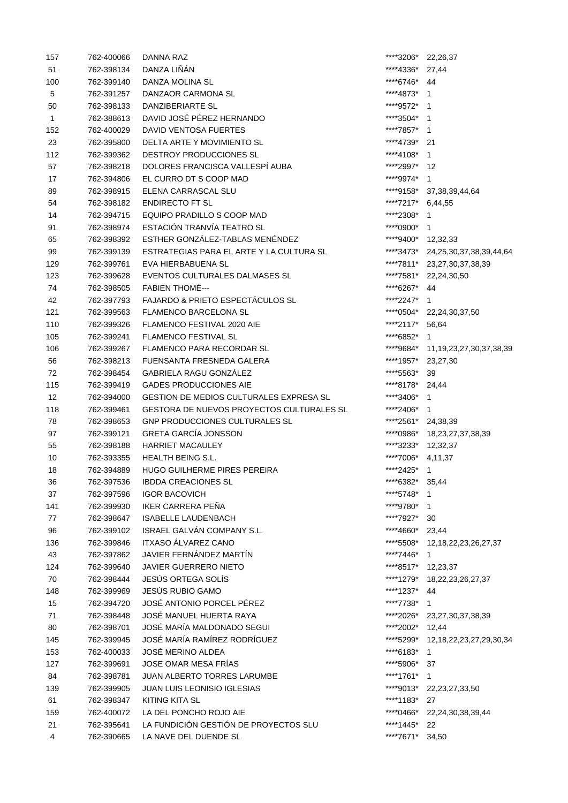| 157          | 762-400066 | DANNA RAZ                                 | ****3206*          | 22,26,37                          |
|--------------|------------|-------------------------------------------|--------------------|-----------------------------------|
| 51           | 762-398134 | DANZA LIÑÁN                               | ****4336*          | 27,44                             |
| 100          | 762-399140 | DANZA MOLINA SL                           | ****6746*          | 44                                |
| $\sqrt{5}$   | 762-391257 | DANZAOR CARMONA SL                        | ****4873*          | 1                                 |
| 50           | 762-398133 | DANZIBERIARTE SL                          | ****9572*          | $\overline{1}$                    |
| $\mathbf{1}$ | 762-388613 | DAVID JOSÉ PÉREZ HERNANDO                 | ****3504*          | $\mathbf 1$                       |
| 152          | 762-400029 | DAVID VENTOSA FUERTES                     | ****7857*          | -1                                |
| 23           | 762-395800 | DELTA ARTE Y MOVIMIENTO SL                | ****4739*          | 21                                |
| 112          | 762-399362 | DESTROY PRODUCCIONES SL                   | ****4108*          | 1                                 |
| 57           | 762-398218 | DOLORES FRANCISCA VALLESPÍ AUBA           | ****2997* 12       |                                   |
| 17           | 762-394806 | EL CURRO DT S COOP MAD                    | ****9974*          | $\mathbf{1}$                      |
| 89           | 762-398915 | ELENA CARRASCAL SLU                       |                    | ****9158* 37,38,39,44,64          |
| 54           | 762-398182 | <b>ENDIRECTO FT SL</b>                    | ****7217* 6,44,55  |                                   |
| 14           | 762-394715 | EQUIPO PRADILLO S COOP MAD                | ****2308*          | $\mathbf 1$                       |
| 91           | 762-398974 | ESTACIÓN TRANVÍA TEATRO SL                | ****0900*          | 1                                 |
|              | 762-398392 | ESTHER GONZÁLEZ-TABLAS MENÉNDEZ           | ****9400* 12,32,33 |                                   |
| 65           |            |                                           |                    |                                   |
| 99           | 762-399139 | ESTRATEGIAS PARA EL ARTE Y LA CULTURA SL  |                    | ****3473* 24,25,30,37,38,39,44,64 |
| 129          | 762-399761 | EVA HIERBABUENA SL                        |                    | ****7811* 23,27,30,37,38,39       |
| 123          | 762-399628 | EVENTOS CULTURALES DALMASES SL            |                    | ****7581* 22,24,30,50             |
| 74           | 762-398505 | <b>FABIEN THOMÉ---</b>                    | ****6267* 44       |                                   |
| 42           | 762-397793 | FAJARDO & PRIETO ESPECTÁCULOS SL          | ****2247*          | $\mathbf{1}$                      |
| 121          | 762-399563 | <b>FLAMENCO BARCELONA SL</b>              |                    | ****0504* 22,24,30,37,50          |
| 110          | 762-399326 | FLAMENCO FESTIVAL 2020 AIE                | ****2117*          | 56,64                             |
| 105          | 762-399241 | <b>FLAMENCO FESTIVAL SL</b>               | ****6852*          | 1                                 |
| 106          | 762-399267 | <b>FLAMENCO PARA RECORDAR SL</b>          | ****9684*          | 11, 19, 23, 27, 30, 37, 38, 39    |
| 56           | 762-398213 | FUENSANTA FRESNEDA GALERA                 | ****1957*          | 23,27,30                          |
| 72           | 762-398454 | <b>GABRIELA RAGU GONZÁLEZ</b>             | ****5563*          | 39                                |
| 115          | 762-399419 | <b>GADES PRODUCCIONES AIE</b>             | ****8178* 24,44    |                                   |
| 12           | 762-394000 | GESTION DE MEDIOS CULTURALES EXPRESA SL   | ****3406*          | $\mathbf{1}$                      |
| 118          | 762-399461 | GESTORA DE NUEVOS PROYECTOS CULTURALES SL | ****2406* 1        |                                   |
| 78           | 762-398653 | <b>GNP PRODUCCIONES CULTURALES SL</b>     | ****2561* 24,38,39 |                                   |
| 97           | 762-399121 | <b>GRETA GARCÍA JONSSON</b>               |                    | ****0986* 18,23,27,37,38,39       |
| 55           | 762-398188 | <b>HARRIET MACAULEY</b>                   | ****3233* 12,32,37 |                                   |
| 10           | 762-393355 | <b>HEALTH BEING S.L.</b>                  | ****7006*          | 4,11,37                           |
| 18           | 762-394889 | HUGO GUILHERME PIRES PEREIRA              | ****2425*          | $\mathbf{1}$                      |
| 36           | 762-397536 | <b>IBDDA CREACIONES SL</b>                | ****6382* 35,44    |                                   |
| 37           | 762-397596 | <b>IGOR BACOVICH</b>                      | ****5748*          | 1                                 |
| 141          | 762-399930 | IKER CARRERA PEÑA                         | ****9780*          | $\mathbf{1}$                      |
| 77           | 762-398647 | <b>ISABELLE LAUDENBACH</b>                | ****7927*          | 30                                |
| 96           | 762-399102 | ISRAEL GALVÁN COMPANY S.L.                | ****4660*          | 23,44                             |
| 136          | 762-399846 | <b>ITXASO ÁLVAREZ CANO</b>                | ****5508*          | 12, 18, 22, 23, 26, 27, 37        |
| 43           | 762-397862 | JAVIER FERNÁNDEZ MARTÍN                   | ****7446*          | 1                                 |
| 124          | 762-399640 | <b>JAVIER GUERRERO NIETO</b>              | ****8517*          | 12,23,37                          |
| 70           | 762-398444 | JESÚS ORTEGA SOLÍS                        | ****1279*          |                                   |
|              | 762-399969 | JESÚS RUBIO GAMO                          | ****1237*          | 18,22,23,26,27,37<br>44           |
| 148          |            | JOSÉ ANTONIO PORCEL PÉREZ                 |                    |                                   |
| 15           | 762-394720 |                                           | ****7738*          | $\mathbf{1}$                      |
| 71           | 762-398448 | JOSÉ MANUEL HUERTA RAYA                   | ****2026*          | 23,27,30,37,38,39                 |
| 80           | 762-398701 | JOSÉ MARÍA MALDONADO SEGUI                | ****2002*          | 12,44                             |
| 145          | 762-399945 | JOSÉ MARÍA RAMÍREZ RODRÍGUEZ              | ****5299*          | 12, 18, 22, 23, 27, 29, 30, 34    |
| 153          | 762-400033 | <b>JOSÉ MERINO ALDEA</b>                  | ****6183*          | 1                                 |
| 127          | 762-399691 | <b>JOSE OMAR MESA FRIAS</b>               | ****5906*          | 37                                |
| 84           | 762-398781 | <b>JUAN ALBERTO TORRES LARUMBE</b>        | ****1761*          | 1                                 |
| 139          | 762-399905 | <b>JUAN LUIS LEONISIO IGLESIAS</b>        |                    | ****9013* 22,23,27,33,50          |
| 61           | 762-398347 | <b>KITING KITA SL</b>                     | ****1183*          | 27                                |
| 159          | 762-400072 | LA DEL PONCHO ROJO AIE                    | ****0466*          | 22, 24, 30, 38, 39, 44            |
| 21           | 762-395641 | LA FUNDICIÓN GESTIÓN DE PROYECTOS SLU     | ****1445*          | 22                                |
| 4            | 762-390665 | LA NAVE DEL DUENDE SL                     | ****7671*          | 34,50                             |
|              |            |                                           |                    |                                   |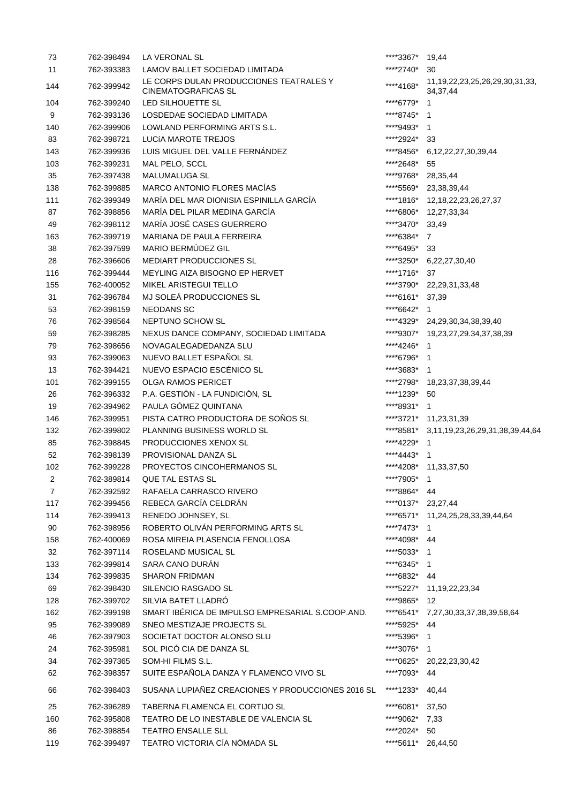| 73             | 762-398494 | LA VERONAL SL                                                         | ****3367*       | 19,44                                                 |
|----------------|------------|-----------------------------------------------------------------------|-----------------|-------------------------------------------------------|
| 11             | 762-393383 | LAMOV BALLET SOCIEDAD LIMITADA                                        | *****2740*      | 30                                                    |
| 144            | 762-399942 | LE CORPS DULAN PRODUCCIONES TEATRALES Y<br><b>CINEMATOGRAFICAS SL</b> | ****4168*       | 11, 19, 22, 23, 25, 26, 29, 30, 31, 33,<br>34, 37, 44 |
| 104            | 762-399240 | LED SILHOUETTE SL                                                     | ****6779*       | -1                                                    |
| 9              | 762-393136 | LOSDEDAE SOCIEDAD LIMITADA                                            | ****8745*       | -1                                                    |
| 140            | 762-399906 | LOWLAND PERFORMING ARTS S.L.                                          | ****9493*       | $\overline{1}$                                        |
| 83             | 762-398721 | LUCÍA MAROTE TREJOS                                                   | ****2924*       | 33                                                    |
| 143            | 762-399936 | LUIS MIGUEL DEL VALLE FERNÁNDEZ                                       | ****8456*       | 6, 12, 22, 27, 30, 39, 44                             |
| 103            | 762-399231 | MAL PELO, SCCL                                                        | *****2648*      | 55                                                    |
| 35             | 762-397438 | <b>MALUMALUGA SL</b>                                                  | ****9768*       | 28,35,44                                              |
| 138            | 762-399885 | MARCO ANTONIO FLORES MACÍAS                                           | ****5569*       | 23,38,39,44                                           |
| 111            | 762-399349 | MARÍA DEL MAR DIONISIA ESPINILLA GARCÍA                               |                 | ****1816* 12,18,22,23,26,27,37                        |
| 87             | 762-398856 | MARÍA DEL PILAR MEDINA GARCÍA                                         |                 | ****6806* 12,27,33,34                                 |
| 49             | 762-398112 | MARÍA JOSÉ CASES GUERRERO                                             | ****3470* 33,49 |                                                       |
| 163            | 762-399719 | MARIANA DE PAULA FERREIRA                                             | ****6384* 7     |                                                       |
| 38             | 762-397599 | MARIO BERMÚDEZ GIL                                                    | ****6495* 33    |                                                       |
| 28             | 762-396606 | MEDIART PRODUCCIONES SL                                               | ****3250*       | 6,22,27,30,40                                         |
| 116            | 762-399444 | MEYLING AIZA BISOGNO EP HERVET                                        | ****1716*       | 37                                                    |
| 155            | 762-400052 | MIKEL ARISTEGUI TELLO                                                 | ****3790*       | 22,29,31,33,48                                        |
| 31             | 762-396784 | MJ SOLEÁ PRODUCCIONES SL                                              | ****6161*       | 37,39                                                 |
| 53             | 762-398159 | <b>NEODANS SC</b>                                                     | ****6642*       | $\mathbf{1}$                                          |
| 76             | 762-398564 | NEPTUNO SCHOW SL                                                      | ****4329*       | 24,29,30,34,38,39,40                                  |
| 59             | 762-398285 | NEXUS DANCE COMPANY, SOCIEDAD LIMITADA                                | ****9307*       | 19,23,27,29.34,37,38,39                               |
| 79             | 762-398656 | NOVAGALEGADEDANZA SLU                                                 | ****4246*       | $\overline{1}$                                        |
| 93             | 762-399063 | NUEVO BALLET ESPAÑOL SL                                               | ****6796*       | $\mathbf{1}$                                          |
| 13             | 762-394421 | NUEVO ESPACIO ESCÉNICO SL                                             | ****3683*       | -1                                                    |
| 101            | 762-399155 | <b>OLGA RAMOS PERICET</b>                                             | *****2798*      | 18,23,37,38,39,44                                     |
| 26             | 762-396332 | P.A. GESTIÓN - LA FUNDICIÓN, SL                                       | ****1239*       | 50                                                    |
| 19             | 762-394962 | PAULA GÓMEZ QUINTANA                                                  | ****8931*       | $\mathbf{1}$                                          |
| 146            | 762-399951 | PISTA CATRO PRODUCTORA DE SOÑOS SL                                    |                 | ****3721* 11,23,31,39                                 |
| 132            | 762-399802 | PLANNING BUSINESS WORLD SL                                            | ****8581*       | 3,11,19,23,26,29,31,38,39,44,64                       |
| 85             | 762-398845 | PRODUCCIONES XENOX SL                                                 | ****4229* 1     |                                                       |
| 52             | 762-398139 | PROVISIONAL DANZA SL                                                  | ****4443* 1     |                                                       |
| 102            | 762-399228 | PROYECTOS CINCOHERMANOS SL                                            |                 | ****4208* 11,33,37,50                                 |
| 2              | 762-389814 | QUE TAL ESTAS SL                                                      | ****7905*       | $\mathbf{1}$                                          |
| $\overline{7}$ | 762-392592 | RAFAELA CARRASCO RIVERO                                               | ****8864*       | 44                                                    |
| 117            | 762-399456 | REBECA GARCÍA CELDRÁN                                                 | ****0137*       | 23,27,44                                              |
| 114            | 762-399413 | RENEDO JOHNSEY, SL                                                    |                 | ****6571* 11,24,25,28,33,39,44,64                     |
| 90             | 762-398956 | ROBERTO OLIVÁN PERFORMING ARTS SL                                     | ****7473* 1     |                                                       |
| 158            | 762-400069 | ROSA MIREIA PLASENCIA FENOLLOSA                                       | ****4098* 44    |                                                       |
| 32             | 762-397114 | ROSELAND MUSICAL SL                                                   | ****5033*       | $\overline{1}$                                        |
| 133            | 762-399814 | SARA CANO DURÁN                                                       | ****6345*       | $\mathbf 1$                                           |
| 134            | 762-399835 | <b>SHARON FRIDMAN</b>                                                 | ****6832* 44    |                                                       |
| 69             | 762-398430 | SILENCIO RASGADO SL                                                   | ****5227*       | 11, 19, 22, 23, 34                                    |
| 128            | 762-399702 | SILVIA BATET LLADRÓ                                                   | ****9865*       | 12                                                    |
| 162            | 762-399198 | SMART IBÉRICA DE IMPULSO EMPRESARIAL S.COOP.AND.                      | ****6541*       | 7,27,30,33,37,38,39,58,64                             |
| 95             | 762-399089 | SNEO MESTIZAJE PROJECTS SL                                            | ****5925*       | 44                                                    |
| 46             | 762-397903 | SOCIETAT DOCTOR ALONSO SLU                                            | *****5396*      | $\mathbf{1}$                                          |
| 24             | 762-395981 | SOL PICÓ CIA DE DANZA SL                                              | ****3076*       | -1                                                    |
| 34             | 762-397365 | SOM-HI FILMS S.L.                                                     | ****0625*       | 20,22,23,30,42                                        |
| 62             | 762-398357 | SUITE ESPAÑOLA DANZA Y FLAMENCO VIVO SL                               | ****7093*       | 44                                                    |
| 66             | 762-398403 | SUSANA LUPIAÑEZ CREACIONES Y PRODUCCIONES 2016 SL                     | ****1233*       | 40,44                                                 |
|                |            |                                                                       |                 |                                                       |
| 25             | 762-396289 | TABERNA FLAMENCA EL CORTIJO SL                                        | ****6081*       | 37,50                                                 |
| 160            | 762-395808 | TEATRO DE LO INESTABLE DE VALENCIA SL                                 | ****9062*       | 7,33                                                  |
| 86             | 762-398854 | <b>TEATRO ENSALLE SLL</b>                                             | ****2024*       | 50                                                    |
| 119            | 762-399497 | TEATRO VICTORIA CÍA NÓMADA SL                                         | ****5611*       | 26,44,50                                              |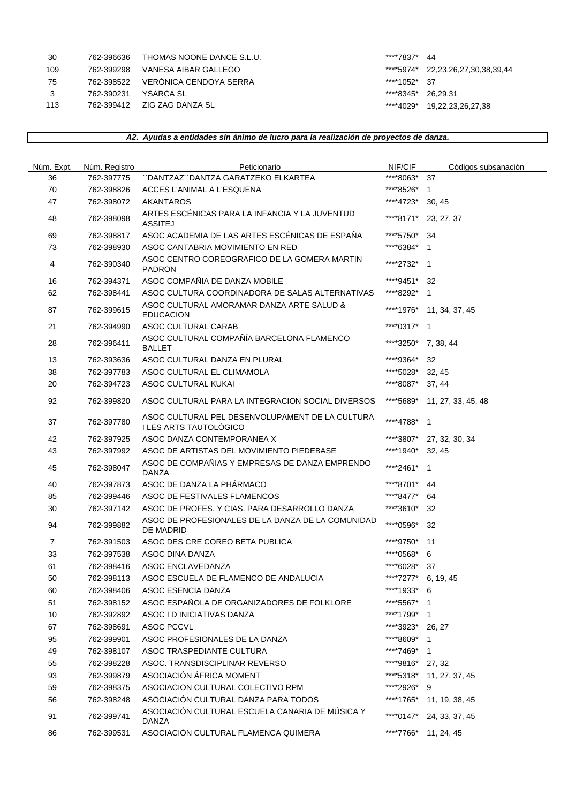| 30  | 762-396636 | THOMAS NOONE DANCE S.L.U.      | ****7837* 44       |                                   |
|-----|------------|--------------------------------|--------------------|-----------------------------------|
| 109 | 762-399298 | VANESA AIBAR GALLEGO           |                    | ****5974* 22,23,26,27,30,38,39,44 |
| 75  | 762-398522 | VERÓNICA CENDOYA SERRA         | ****1052* 37       |                                   |
|     | 762-390231 | YSARCA SL                      | ****8345* 26.29.31 |                                   |
| 113 |            | 762-399412    ZIG ZAG DANZA SL |                    | ****4029* 19,22,23,26,27,38       |
|     |            |                                |                    |                                   |

|  |  |  | A2. Ayudas a entidades sin ánimo de lucro para la realización de proyectos de danza. |  |
|--|--|--|--------------------------------------------------------------------------------------|--|
|--|--|--|--------------------------------------------------------------------------------------|--|

| Núm. Expt.     | Núm. Registro | Peticionario                                                              | NIF/CIF             | Códigos subsanación          |
|----------------|---------------|---------------------------------------------------------------------------|---------------------|------------------------------|
| 36             | 762-397775    | "DANTZAZ"DANTZA GARATZEKO ELKARTEA                                        | ****8063*           | 37                           |
| 70             | 762-398826    | ACCES L'ANIMAL A L'ESQUENA                                                | ****8526*           | $\overline{1}$               |
| 47             | 762-398072    | <b>AKANTAROS</b>                                                          | ****4723*           | 30, 45                       |
| 48             | 762-398098    | ARTES ESCÉNICAS PARA LA INFANCIA Y LA JUVENTUD<br><b>ASSITEJ</b>          | ****8171*           | 23, 27, 37                   |
| 69             | 762-398817    | ASOC ACADEMIA DE LAS ARTES ESCÉNICAS DE ESPAÑA                            | ****5750*           | 34                           |
| 73             | 762-398930    | ASOC CANTABRIA MOVIMIENTO EN RED                                          | ****6384*           | $\overline{\phantom{0}}$     |
| 4              | 762-390340    | ASOC CENTRO COREOGRAFICO DE LA GOMERA MARTIN<br><b>PADRON</b>             | ****2732*           | $\overline{1}$               |
| 16             | 762-394371    | ASOC COMPAÑIA DE DANZA MOBILE                                             | ****9451*           | -32                          |
| 62             | 762-398441    | ASOC CULTURA COORDINADORA DE SALAS ALTERNATIVAS                           | ****8292*           | $\overline{1}$               |
| 87             | 762-399615    | ASOC CULTURAL AMORAMAR DANZA ARTE SALUD &<br><b>EDUCACION</b>             | ****1976*           | 11, 34, 37, 45               |
| 21             | 762-394990    | ASOC CULTURAL CARAB                                                       | ****0317* 1         |                              |
| 28             | 762-396411    | ASOC CULTURAL COMPAÑÍA BARCELONA FLAMENCO<br><b>BALLET</b>                | ****3250* 7, 38, 44 |                              |
| 13             | 762-393636    | ASOC CULTURAL DANZA EN PLURAL                                             | ****9364*           | 32                           |
| 38             | 762-397783    | ASOC CULTURAL EL CLIMAMOLA                                                | ****5028*           | 32, 45                       |
| 20             | 762-394723    | ASOC CULTURAL KUKAI                                                       | ****8087*           | 37, 44                       |
| 92             | 762-399820    | ASOC CULTURAL PARA LA INTEGRACION SOCIAL DIVERSOS                         |                     | ****5689* 11, 27, 33, 45, 48 |
| 37             | 762-397780    | ASOC CULTURAL PEL DESENVOLUPAMENT DE LA CULTURA<br>I LES ARTS TAUTOLÓGICO | ****4788*           | $\overline{\mathbf{1}}$      |
| 42             | 762-397925    | ASOC DANZA CONTEMPORANEA X                                                | ****3807*           | 27, 32, 30, 34               |
| 43             | 762-397992    | ASOC DE ARTISTAS DEL MOVIMIENTO PIEDEBASE                                 | ****1940*           | 32, 45                       |
| 45             | 762-398047    | ASOC DE COMPAÑIAS Y EMPRESAS DE DANZA EMPRENDO<br><b>DANZA</b>            | *****2461*          | $\overline{1}$               |
| 40             | 762-397873    | ASOC DE DANZA LA PHÁRMACO                                                 | ****8701*           | 44                           |
| 85             | 762-399446    | ASOC DE FESTIVALES FLAMENCOS                                              | ****8477*           | 64                           |
| 30             | 762-397142    | ASOC DE PROFES. Y CIAS. PARA DESARROLLO DANZA                             | ****3610*           | 32                           |
| 94             | 762-399882    | ASOC DE PROFESIONALES DE LA DANZA DE LA COMUNIDAD<br><b>DE MADRID</b>     | ****0596*           | 32                           |
| $\overline{7}$ | 762-391503    | ASOC DES CRE COREO BETA PUBLICA                                           | ****9750*           | 11                           |
| 33             | 762-397538    | ASOC DINA DANZA                                                           | ****0568*           | 6                            |
| 61             | 762-398416    | ASOC ENCLAVEDANZA                                                         | ****6028*           | 37                           |
| 50             | 762-398113    | ASOC ESCUELA DE FLAMENCO DE ANDALUCIA                                     | ****7277* 6, 19, 45 |                              |
| 60             | 762-398406    | ASOC ESENCIA DANZA                                                        | ****1933* 6         |                              |
| 51             | 762-398152    | ASOC ESPAÑOLA DE ORGANIZADORES DE FOLKLORE                                | ****5567*           | $\overline{\phantom{1}}$     |
| 10             | 762-392892    | ASOC I D INICIATIVAS DANZA                                                | ****1799* 1         |                              |
| 67             | 762-398691    | <b>ASOC PCCVL</b>                                                         | ****3923*           | 26, 27                       |
| 95             | 762-399901    | ASOC PROFESIONALES DE LA DANZA                                            | ****8609*           | $\overline{1}$               |
| 49             | 762-398107    | ASOC TRASPEDIANTE CULTURA                                                 | ****7469*           | $\overline{1}$               |
| 55             | 762-398228    | ASOC. TRANSDISCIPLINAR REVERSO                                            | ****9816*           | 27, 32                       |
| 93             | 762-399879    | ASOCIACIÓN ÁFRICA MOMENT                                                  | ****5318*           | 11, 27, 37, 45               |
| 59             | 762-398375    | ASOCIACION CULTURAL COLECTIVO RPM                                         | *****2926*          | 9                            |
| 56             | 762-398248    | ASOCIACIÓN CULTURAL DANZA PARA TODOS                                      |                     | ****1765* 11, 19, 38, 45     |
| 91             | 762-399741    | ASOCIACIÓN CULTURAL ESCUELA CANARIA DE MÚSICA Y<br><b>DANZA</b>           | ****0147*           | 24, 33, 37, 45               |
| 86             | 762-399531    | ASOCIACIÓN CULTURAL FLAMENCA QUIMERA                                      |                     | ****7766* 11, 24, 45         |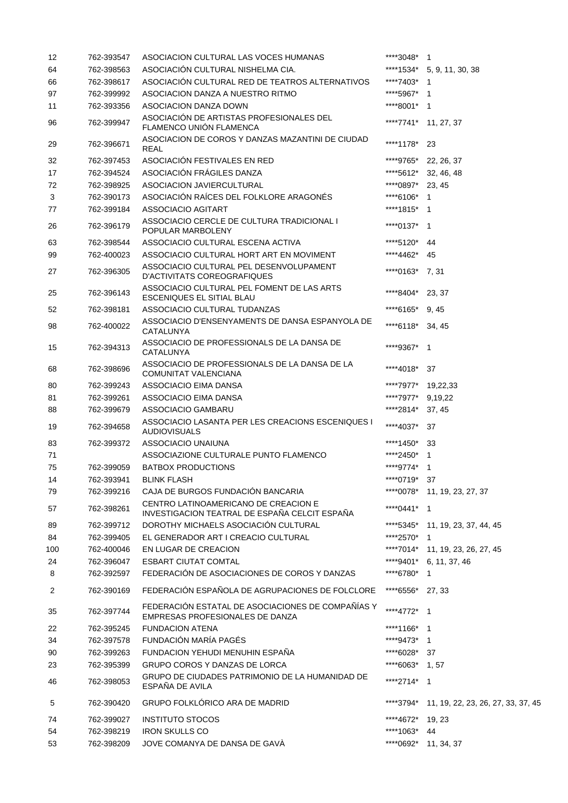| 12     | 762-393547               | ASOCIACION CULTURAL LAS VOCES HUMANAS                                                           | ****3048* 1                   |                                    |
|--------|--------------------------|-------------------------------------------------------------------------------------------------|-------------------------------|------------------------------------|
| 64     | 762-398563               | ASOCIACIÓN CULTURAL NISHELMA CIA.                                                               |                               | ****1534* 5, 9, 11, 30, 38         |
| 66     | 762-398617               | ASOCIACIÓN CULTURAL RED DE TEATROS ALTERNATIVOS                                                 | ****7403*                     | -1                                 |
| 97     | 762-399992               | ASOCIACION DANZA A NUESTRO RITMO                                                                | ****5967*                     | -1                                 |
| 11     | 762-393356               | ASOCIACION DANZA DOWN                                                                           | ****8001* 1                   |                                    |
| 96     | 762-399947               | ASOCIACIÓN DE ARTISTAS PROFESIONALES DEL<br>FLAMENCO UNIÓN FLAMENCA                             |                               | ****7741* 11, 27, 37               |
| 29     | 762-396671               | ASOCIACION DE COROS Y DANZAS MAZANTINI DE CIUDAD<br><b>REAL</b>                                 | ****1178*                     | 23                                 |
| 32     | 762-397453               | ASOCIACIÓN FESTIVALES EN RED                                                                    | ****9765*                     | 22, 26, 37                         |
| 17     | 762-394524               | ASOCIACIÓN FRÁGILES DANZA                                                                       | ****5612*                     | 32, 46, 48                         |
| 72     | 762-398925               | ASOCIACION JAVIERCULTURAL                                                                       | ****0897*                     | 23, 45                             |
| 3      | 762-390173               | ASOCIACIÓN RAÍCES DEL FOLKLORE ARAGONÉS                                                         | ****6106*                     | 1                                  |
| 77     | 762-399184               | ASSOCIACIO AGITART                                                                              | ****1815*                     | $\overline{1}$                     |
| 26     | 762-396179               | ASSOCIACIO CERCLE DE CULTURA TRADICIONAL I<br>POPULAR MARBOLENY                                 | ****0137*                     | $\overline{1}$                     |
| 63     | 762-398544               | ASSOCIACIO CULTURAL ESCENA ACTIVA                                                               | ****5120*                     | 44                                 |
| 99     | 762-400023               | ASSOCIACIO CULTURAL HORT ART EN MOVIMENT                                                        | ****4462*                     | 45                                 |
| 27     | 762-396305               | ASSOCIACIO CULTURAL PEL DESENVOLUPAMENT<br><b>D'ACTIVITATS COREOGRAFIQUES</b>                   | ****0163*                     | 7,31                               |
| 25     | 762-396143               | ASSOCIACIO CULTURAL PEL FOMENT DE LAS ARTS<br>ESCENIQUES EL SITIAL BLAU                         | ****8404*                     | 23, 37                             |
| 52     | 762-398181               | ASSOCIACIO CULTURAL TUDANZAS                                                                    | ****6165*                     | 9, 45                              |
| 98     | 762-400022               | ASSOCIACIO D'ENSENYAMENTS DE DANSA ESPANYOLA DE<br><b>CATALUNYA</b>                             | ****6118*                     | 34, 45                             |
| 15     | 762-394313               | ASSOCIACIO DE PROFESSIONALS DE LA DANSA DE<br>CATALUNYA                                         | ****9367*                     | $\overline{\phantom{1}}$           |
| 68     | 762-398696               | ASSOCIACIO DE PROFESSIONALS DE LA DANSA DE LA<br>COMUNITAT VALENCIANA                           | ****4018*                     | 37                                 |
| 80     | 762-399243               | ASSOCIACIO EIMA DANSA                                                                           | ****7977*                     | 19,22,33                           |
| 81     | 762-399261               | ASSOCIACIO EIMA DANSA                                                                           | ****7977*                     | 9,19,22                            |
| 88     | 762-399679               | ASSOCIACIO GAMBARU                                                                              | ****2814*                     | 37, 45                             |
| 19     | 762-394658               | ASSOCIACIO LASANTA PER LES CREACIONS ESCENIQUES I<br><b>AUDIOVISUALS</b>                        | ****4037*                     | 37                                 |
| 83     | 762-399372               | ASSOCIACIO UNAIUNA                                                                              | ****1450*                     | 33                                 |
| 71     |                          | ASSOCIAZIONE CULTURALE PUNTO FLAMENCO                                                           | ****2450*                     | $\mathbf 1$                        |
| 75     | 762-399059               | <b>BATBOX PRODUCTIONS</b>                                                                       | ****9774* 1                   |                                    |
| 14     | 762-393941               | <b>BLINK FLASH</b>                                                                              | ****0719* 37                  |                                    |
| 79     | 762-399216               | CAJA DE BURGOS FUNDACIÓN BANCARIA                                                               |                               | ****0078* 11, 19, 23, 27, 37       |
| 57     | 762-398261               | CENTRO LATINOAMERICANO DE CREACION E<br>INVESTIGACION TEATRAL DE ESPAÑA CELCIT ESPAÑA           | ****0441* 1                   |                                    |
| 89     | 762-399712               | DOROTHY MICHAELS ASOCIACIÓN CULTURAL                                                            |                               | ****5345* 11, 19, 23, 37, 44, 45   |
| 84     | 762-399405               | EL GENERADOR ART I CREACIO CULTURAL                                                             | ****2570*                     | -1                                 |
| 100    | 762-400046               | EN LUGAR DE CREACION                                                                            |                               | ****7014* 11, 19, 23, 26, 27, 45   |
| 24     | 762-396047               | <b>ESBART CIUTAT COMTAL</b>                                                                     | ****9401*                     | 6, 11, 37, 46                      |
| 8<br>2 | 762-392597<br>762-390169 | FEDERACIÓN DE ASOCIACIONES DE COROS Y DANZAS<br>FEDERACIÓN ESPAÑOLA DE AGRUPACIONES DE FOLCLORE | ****6780*<br>****6556* 27, 33 | $\mathbf{1}$                       |
| 35     | 762-397744               | FEDERACIÓN ESTATAL DE ASOCIACIONES DE COMPAÑÍAS Y                                               | ****4772*                     | $\overline{\phantom{0}}$ 1         |
| 22     | 762-395245               | EMPRESAS PROFESIONALES DE DANZA<br><b>FUNDACION ATENA</b>                                       | ****1166* 1                   |                                    |
| 34     | 762-397578               | FUNDACIÓN MARÍA PAGÉS                                                                           | ****9473* 1                   |                                    |
| 90     | 762-399263               | FUNDACION YEHUDI MENUHIN ESPAÑA                                                                 | ****6028*                     | 37                                 |
| 23     | 762-395399               | GRUPO COROS Y DANZAS DE LORCA                                                                   | ****6063* 1,57                |                                    |
| 46     | 762-398053               | GRUPO DE CIUDADES PATRIMONIO DE LA HUMANIDAD DE<br>ESPAÑA DE AVILA                              | ****2714* 1                   |                                    |
| 5      | 762-390420               | GRUPO FOLKLÓRICO ARA DE MADRID                                                                  | *****3794*                    | 11, 19, 22, 23, 26, 27, 33, 37, 45 |
| 74     | 762-399027               | <b>INSTITUTO STOCOS</b>                                                                         | ****4672*                     | 19, 23                             |
| 54     | 762-398219               | <b>IRON SKULLS CO</b>                                                                           | ****1063*                     | 44                                 |
| 53     | 762-398209               | JOVE COMANYA DE DANSA DE GAVÀ                                                                   |                               | ****0692* 11, 34, 37               |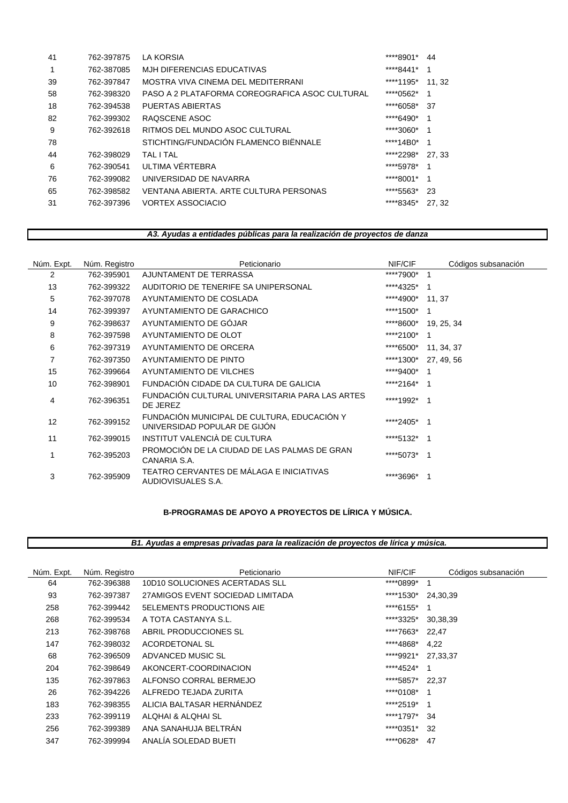| 41 | 762-397875 | <b>LA KORSIA</b>                               | ****8901*  | 44    |
|----|------------|------------------------------------------------|------------|-------|
|    | 762-387085 | MJH DIFERENCIAS EDUCATIVAS                     | ****8441*  | 1     |
| 39 | 762-397847 | MOSTRA VIVA CINEMA DEL MEDITERRANI             | ****1195*  | 11.32 |
| 58 | 762-398320 | PASO A 2 PLATAFORMA COREOGRAFICA ASOC CULTURAL | ****0562*  | 1     |
| 18 | 762-394538 | PUERTAS ABIERTAS                               | ****6058*  | 37    |
| 82 | 762-399302 | RAQSCENE ASOC                                  | ****6490*  | 1     |
| 9  | 762-392618 | RITMOS DEL MUNDO ASOC CULTURAL                 | ****3060*  | 1     |
| 78 |            | STICHTING/FUNDACIÓN FLAMENCO BIËNNALE          | ****14B0*  | -1    |
| 44 | 762-398029 | TAI I TAI                                      | *****2298* | 27.33 |
| 6  | 762-390541 | ULTIMA VÉRTEBRA                                | ****5978*  | 1     |
| 76 | 762-399082 | UNIVERSIDAD DE NAVARRA                         | ****8001*  | 1     |
| 65 | 762-398582 | VENTANA ABIERTA, ARTE CULTURA PERSONAS         | ****5563*  | 23    |
| 31 | 762-397396 | <b>VORTEX ASSOCIACIO</b>                       | ****8345*  | 27.32 |
|    |            |                                                |            |       |

# *A3. Ayudas a entidades públicas para la realización de proyectos de danza*

| Núm. Expt. | Núm. Registro | Peticionario                                                                | NIF/CIF     | Códigos subsanación |
|------------|---------------|-----------------------------------------------------------------------------|-------------|---------------------|
| 2          | 762-395901    | AJUNTAMENT DE TERRASSA                                                      | ****7900*   | 1                   |
| 13         | 762-399322    | AUDITORIO DE TENERIFE SA UNIPERSONAL                                        | ****4325*   |                     |
| 5          | 762-397078    | AYUNTAMIENTO DE COSLADA                                                     | ****4900*   | 11, 37              |
| 14         | 762-399397    | AYUNTAMIENTO DE GARACHICO                                                   | ****1500*   |                     |
| 9          | 762-398637    | AYUNTAMIENTO DE GÓJAR                                                       | ****8600*   | 19, 25, 34          |
| 8          | 762-397598    | AYUNTAMIENTO DE OLOT                                                        | *****2100*  | 1                   |
| 6          | 762-397319    | AYUNTAMIENTO DE ORCERA                                                      | ****6500*   | 11, 34, 37          |
| 7          | 762-397350    | AYUNTAMIENTO DE PINTO                                                       | ****1300*   | 27, 49, 56          |
| 15         | 762-399664    | AYUNTAMIENTO DE VILCHES                                                     | ****9400*   |                     |
| 10         | 762-398901    | FUNDACIÓN CIDADE DA CULTURA DE GALICIA                                      | *****2164*  |                     |
| 4          | 762-396351    | FUNDACIÓN CULTURAL UNIVERSITARIA PARA LAS ARTES<br>DE JEREZ                 | ****1992* 1 |                     |
| 12         | 762-399152    | FUNDACIÓN MUNICIPAL DE CULTURA, EDUCACIÓN Y<br>UNIVERSIDAD POPULAR DE GIJÓN | ****2405*   | -1                  |
| 11         | 762-399015    | INSTITUT VALENCIÀ DE CULTURA                                                | ****5132*   |                     |
|            | 762-395203    | PROMOCIÓN DE LA CIUDAD DE LAS PALMAS DE GRAN<br>CANARIA S.A.                | ****5073*   | 1                   |
| 3          | 762-395909    | TEATRO CERVANTES DE MÁLAGA E INICIATIVAS<br>AUDIOVISUALES S.A.              | *****3696*  |                     |

## **B-PROGRAMAS DE APOYO A PROYECTOS DE LÍRICA Y MÚSICA.**

 *B1. Ayudas a empresas privadas para la realización de proyectos de lírica y música.*

| Núm. Expt. | Núm. Registro | Peticionario                     | NIF/CIF    | Códigos subsanación |
|------------|---------------|----------------------------------|------------|---------------------|
| 64         | 762-396388    | 10D10 SOLUCIONES ACERTADAS SLL   | *****0899* | -1                  |
| 93         | 762-397387    | 27AMIGOS EVENT SOCIEDAD LIMITADA | ****1530*  | 24,30,39            |
| 258        | 762-399442    | <b>5ELEMENTS PRODUCTIONS AIE</b> | ****6155*  | -1                  |
| 268        | 762-399534    | A TOTA CASTANYA S.L.             | ****3325*  | 30,38,39            |
| 213        | 762-398768    | ABRIL PRODUCCIONES SL            | ****7663*  | 22.47               |
| 147        | 762-398032    | ACORDETONAL SL                   | ****4868*  | 4,22                |
| 68         | 762-396509    | ADVANCED MUSIC SL                | ****9921*  | 27.33.37            |
| 204        | 762-398649    | AKONCERT-COORDINACION            | ****4524*  | -1                  |
| 135        | 762-397863    | ALFONSO CORRAL BERMEJO           | ****5857*  | 22.37               |
| 26         | 762-394226    | ALFREDO TEJADA ZURITA            | ****0108*  | -1                  |
| 183        | 762-398355    | ALICIA BALTASAR HERNANDEZ        | ****2519*  | - 1                 |
| 233        | 762-399119    | ALOHAI & ALOHAI SL               | ****1797*  | 34                  |
| 256        | 762-399389    | ANA SANAHUJA BELTRÁN             | ****0351*  | 32                  |
| 347        | 762-399994    | ANALÍA SOLEDAD BUETI             | ****0628*  | 47                  |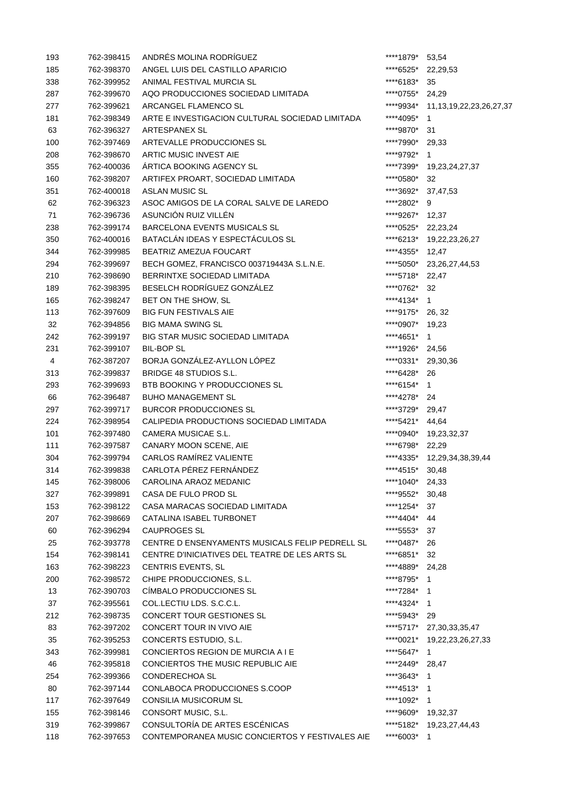| 193 | 762-398415 | ANDRÉS MOLINA RODRÍGUEZ                         | ****1879*          | 53,54                          |
|-----|------------|-------------------------------------------------|--------------------|--------------------------------|
| 185 | 762-398370 | ANGEL LUIS DEL CASTILLO APARICIO                | ****6525*          | 22,29,53                       |
| 338 | 762-399952 | ANIMAL FESTIVAL MURCIA SL                       | ****6183*          | 35                             |
| 287 | 762-399670 | AQO PRODUCCIONES SOCIEDAD LIMITADA              | ****0755*          | 24,29                          |
| 277 | 762-399621 | ARCANGEL FLAMENCO SL                            | ****9934*          | 11, 13, 19, 22, 23, 26, 27, 37 |
| 181 | 762-398349 | ARTE E INVESTIGACION CULTURAL SOCIEDAD LIMITADA | ****4095*          | $\mathbf 1$                    |
| 63  | 762-396327 | ARTESPANEX SL                                   | ****9870*          | 31                             |
| 100 | 762-397469 | ARTEVALLE PRODUCCIONES SL                       | ****7990*          | 29,33                          |
| 208 | 762-398670 | ARTIC MUSIC INVEST AIE                          | ****9792*          | $\overline{1}$                 |
| 355 | 762-400036 | ÁRTICA BOOKING AGENCY SL                        |                    | ****7399* 19,23,24,27,37       |
| 160 | 762-398207 | ARTIFEX PROART, SOCIEDAD LIMITADA               | *****0580*         | 32                             |
| 351 | 762-400018 | ASLAN MUSIC SL                                  | ****3692* 37,47,53 |                                |
| 62  | 762-396323 | ASOC AMIGOS DE LA CORAL SALVE DE LAREDO         | ****2802*          | 9                              |
| 71  | 762-396736 | ASUNCIÓN RUIZ VILLÉN                            | ****9267* 12,37    |                                |
| 238 | 762-399174 | <b>BARCELONA EVENTS MUSICALS SL</b>             | ****0525*          | 22,23,24                       |
| 350 | 762-400016 | BATACLÁN IDEAS Y ESPECTÁCULOS SL                |                    | ****6213* 19,22,23,26,27       |
| 344 | 762-399985 | BEATRIZ AMEZUA FOUCART                          | ****4355*          | 12,47                          |
| 294 | 762-399697 | BECH GOMEZ, FRANCISCO 003719443A S.L.N.E.       | ****5050*          | 23, 26, 27, 44, 53             |
| 210 | 762-398690 | BERRINTXE SOCIEDAD LIMITADA                     | ****5718*          | 22,47                          |
| 189 | 762-398395 | BESELCH RODRÍGUEZ GONZÁLEZ                      | ****0762*          | 32                             |
| 165 | 762-398247 | BET ON THE SHOW, SL                             | ****4134* 1        |                                |
| 113 | 762-397609 | <b>BIG FUN FESTIVALS AIE</b>                    | ****9175*          | 26, 32                         |
| 32  | 762-394856 | <b>BIG MAMA SWING SL</b>                        | ****0907*          | 19,23                          |
| 242 | 762-399197 | <b>BIG STAR MUSIC SOCIEDAD LIMITADA</b>         | ****4651*          | 1                              |
| 231 | 762-399107 | <b>BIL-BOP SL</b>                               | ****1926*          | 24,56                          |
| 4   | 762-387207 | BORJA GONZÁLEZ-AYLLON LÓPEZ                     | ****0331*          | 29,30,36                       |
| 313 | 762-399837 | <b>BRIDGE 48 STUDIOS S.L.</b>                   | ****6428*          | 26                             |
| 293 | 762-399693 | BTB BOOKING Y PRODUCCIONES SL                   | ****6154* 1        |                                |
| 66  | 762-396487 | <b>BUHO MANAGEMENT SL</b>                       | ****4278* 24       |                                |
| 297 | 762-399717 | <b>BURCOR PRODUCCIONES SL</b>                   | ****3729* 29,47    |                                |
| 224 | 762-398954 | CALIPEDIA PRODUCTIONS SOCIEDAD LIMITADA         | ****5421* 44,64    |                                |
| 101 | 762-397480 | CAMERA MUSICAE S.L.                             |                    | ****0940* 19,23,32,37          |
| 111 | 762-397587 | CANARY MOON SCENE, AIE                          | ****6798*          | 22,29                          |
| 304 | 762-399794 | <b>CARLOS RAMÍREZ VALIENTE</b>                  |                    | ****4335* 12,29,34,38,39,44    |
| 314 |            | 762-399838 CARLOTA PÉREZ FERNÁNDEZ              | ****4515* 30,48    |                                |
| 145 | 762-398006 | CAROLINA ARAOZ MEDANIC                          | ****1040* 24,33    |                                |
| 327 | 762-399891 | CASA DE FULO PROD SL                            | ****9552* 30,48    |                                |
| 153 | 762-398122 | CASA MARACAS SOCIEDAD LIMITADA                  | ****1254*          | 37                             |
| 207 | 762-398669 | CATALINA ISABEL TURBONET                        | ****4404* 44       |                                |
| 60  | 762-396294 | CAUPROGES SL                                    | ****5553*          | 37                             |
| 25  | 762-393778 | CENTRE D ENSENYAMENTS MUSICALS FELIP PEDRELL SL | ****0487*          | 26                             |
| 154 | 762-398141 | CENTRE D'INICIATIVES DEL TEATRE DE LES ARTS SL  | ****6851*          | 32                             |
| 163 | 762-398223 | CENTRIS EVENTS, SL                              | ****4889*          | 24,28                          |
| 200 | 762-398572 | CHIPE PRODUCCIONES, S.L.                        | ****8795* 1        |                                |
| 13  | 762-390703 | CÍMBALO PRODUCCIONES SL                         | ****7284* 1        |                                |
| 37  | 762-395561 | COL.LECTIU LDS. S.C.C.L.                        | ****4324* 1        |                                |
| 212 | 762-398735 | CONCERT TOUR GESTIONES SL                       | ****5943* 29       |                                |
| 83  | 762-397202 | CONCERT TOUR IN VIVO AIE                        | ****5717*          | 27, 30, 33, 35, 47             |
| 35  | 762-395253 | CONCERTS ESTUDIO, S.L.                          |                    | ****0021* 19,22,23,26,27,33    |
| 343 | 762-399981 | CONCIERTOS REGION DE MURCIA A I E               | ****5647*          | $\overline{1}$                 |
| 46  | 762-395818 | CONCIERTOS THE MUSIC REPUBLIC AIE               | ****2449* 28,47    |                                |
| 254 | 762-399366 | <b>CONDERECHOA SL</b>                           | ****3643* 1        |                                |
| 80  | 762-397144 | CONLABOCA PRODUCCIONES S.COOP                   | ****4513* 1        |                                |
| 117 | 762-397649 | CONSILIA MUSICORUM SL                           | ****1092* 1        |                                |
| 155 | 762-398146 | CONSORT MUSIC, S.L.                             | ****9609* 19,32,37 |                                |
| 319 | 762-399867 | CONSULTORÍA DE ARTES ESCÉNICAS                  |                    | ****5182* 19,23,27,44,43       |
| 118 | 762-397653 | CONTEMPORANEA MUSIC CONCIERTOS Y FESTIVALES AIE | ****6003* 1        |                                |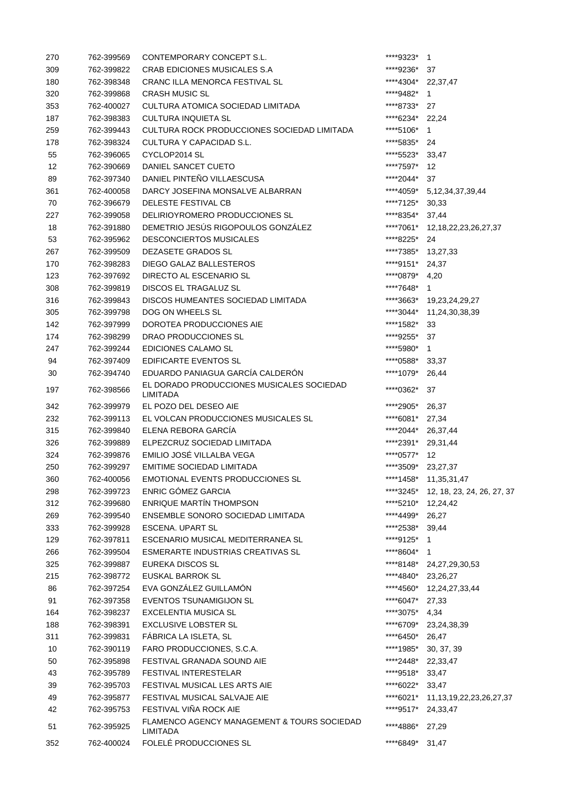| 270 | 762-399569 | CONTEMPORARY CONCEPT S.L.                                      | ****9323*          | $\mathbf{1}$                   |
|-----|------------|----------------------------------------------------------------|--------------------|--------------------------------|
| 309 | 762-399822 | <b>CRAB EDICIONES MUSICALES S.A</b>                            | ****9236*          | 37                             |
| 180 | 762-398348 | CRANC ILLA MENORCA FESTIVAL SL                                 | ****4304*          | 22,37,47                       |
| 320 | 762-399868 | <b>CRASH MUSIC SL</b>                                          | ****9482*          | 1                              |
| 353 | 762-400027 | CULTURA ATOMICA SOCIEDAD LIMITADA                              | ****8733*          | 27                             |
| 187 | 762-398383 | <b>CULTURA INQUIETA SL</b>                                     | ****6234*          | 22,24                          |
| 259 | 762-399443 | CULTURA ROCK PRODUCCIONES SOCIEDAD LIMITADA                    | ****5106*          | 1                              |
| 178 | 762-398324 | CULTURA Y CAPACIDAD S.L.                                       | ****5835*          | 24                             |
| 55  | 762-396065 | CYCLOP2014 SL                                                  | ****5523*          | 33,47                          |
| 12  | 762-390669 | DANIEL SANCET CUETO                                            | ****7597*          | 12                             |
| 89  | 762-397340 | DANIEL PINTEÑO VILLAESCUSA                                     | ****2044*          | 37                             |
| 361 | 762-400058 | DARCY JOSEFINA MONSALVE ALBARRAN                               |                    | ****4059* 5,12,34,37,39,44     |
| 70  | 762-396679 | DELESTE FESTIVAL CB                                            | ****7125*          | 30,33                          |
| 227 | 762-399058 | DELIRIOYROMERO PRODUCCIONES SL                                 | ****8354*          | 37,44                          |
| 18  | 762-391880 | DEMETRIO JESÚS RIGOPOULOS GONZÁLEZ                             | ****7061*          | 12, 18, 22, 23, 26, 27, 37     |
| 53  | 762-395962 | <b>DESCONCIERTOS MUSICALES</b>                                 | ****8225*          | 24                             |
| 267 | 762-399509 | DEZASETE GRADOS SL                                             | ****7385*          | 13,27,33                       |
| 170 | 762-398283 | <b>DIEGO GALAZ BALLESTEROS</b>                                 | ****9151*          | 24,37                          |
| 123 | 762-397692 | DIRECTO AL ESCENARIO SL                                        | ****0879*          | 4,20                           |
| 308 | 762-399819 | <b>DISCOS EL TRAGALUZ SL</b>                                   | ****7648* 1        |                                |
| 316 | 762-399843 | DISCOS HUMEANTES SOCIEDAD LIMITADA                             |                    | ****3663* 19,23,24,29,27       |
| 305 | 762-399798 | DOG ON WHEELS SL                                               | ****3044*          | 11,24,30,38,39                 |
| 142 | 762-397999 | DOROTEA PRODUCCIONES AIE                                       | ****1582*          | 33                             |
| 174 | 762-398299 | DRAO PRODUCCIONES SL                                           | ****9255*          | 37                             |
| 247 | 762-399244 | EDICIONES CALAMO SL                                            | ****5980*          | $\mathbf{1}$                   |
| 94  | 762-397409 | EDIFICARTE EVENTOS SL                                          | ****0588*          | 33,37                          |
| 30  | 762-394740 | EDUARDO PANIAGUA GARCÍA CALDERÓN                               | ****1079*          | 26,44                          |
|     |            | EL DORADO PRODUCCIONES MUSICALES SOCIEDAD                      |                    |                                |
| 197 | 762-398566 | LIMITADA                                                       | ****0362*          | 37                             |
| 342 | 762-399979 | EL POZO DEL DESEO AIE                                          | ****2905*          | 26,37                          |
| 232 | 762-399113 | EL VOLCAN PRODUCCIONES MUSICALES SL                            | ****6081*          | 27,34                          |
| 315 | 762-399840 | ELENA REBORA GARCÍA                                            | ****2044* 26,37,44 |                                |
| 326 | 762-399889 | ELPEZCRUZ SOCIEDAD LIMITADA                                    | ****2391*          | 29,31,44                       |
| 324 | 762-399876 | EMILIO JOSÉ VILLALBA VEGA                                      | ****0577* 12       |                                |
| 250 | 762-399297 | EMITIME SOCIEDAD LIMITADA                                      | ****3509* 23,27,37 |                                |
| 360 | 762-400056 | EMOTIONAL EVENTS PRODUCCIONES SL                               |                    | ****1458* 11,35,31,47          |
| 298 | 762-399723 | ENRIC GÓMEZ GARCIA                                             | ****3245*          | 12, 18, 23, 24, 26, 27, 37     |
| 312 | 762-399680 | <b>ENRIQUE MARTÍN THOMPSON</b>                                 | ****5210*          | 12,24,42                       |
| 269 | 762-399540 | ENSEMBLE SONORO SOCIEDAD LIMITADA                              | ****4499*          | 26,27                          |
| 333 | 762-399928 | ESCENA. UPART SL                                               | ****2538*          | 39,44                          |
| 129 | 762-397811 | ESCENARIO MUSICAL MEDITERRANEA SL                              | ****9125*          | 1                              |
| 266 | 762-399504 | ESMERARTE INDUSTRIAS CREATIVAS SL                              | ****8604* 1        |                                |
| 325 | 762-399887 | EUREKA DISCOS SL                                               | ****8148*          | 24,27,29,30,53                 |
| 215 | 762-398772 | EUSKAL BARROK SL                                               | ****4840*          | 23,26,27                       |
| 86  | 762-397254 | EVA GONZÁLEZ GUILLAMÓN                                         | ****4560*          | 12,24,27,33,44                 |
| 91  | 762-397358 | <b>EVENTOS TSUNAMIGIJON SL</b>                                 | ****6047*          | 27,33                          |
| 164 | 762-398237 | <b>EXCELENTIA MUSICA SL</b>                                    | ****3075*          | 4,34                           |
| 188 | 762-398391 | <b>EXCLUSIVE LOBSTER SL</b>                                    | ****6709*          |                                |
| 311 | 762-399831 | FÁBRICA LA ISLETA, SL                                          | ****6450*          | 23,24,38,39<br>26,47           |
|     |            |                                                                |                    |                                |
| 10  | 762-390119 | FARO PRODUCCIONES, S.C.A.                                      | ****1985*          | 30, 37, 39                     |
| 50  | 762-395898 | FESTIVAL GRANADA SOUND AIE                                     | ****2448*          | 22,33,47                       |
| 43  | 762-395789 | <b>FESTIVAL INTERESTELAR</b>                                   | ****9518*          | 33,47                          |
| 39  | 762-395703 | FESTIVAL MUSICAL LES ARTS AIE                                  | ****6022*          | 33,47                          |
| 49  | 762-395877 | FESTIVAL MUSICAL SALVAJE AIE                                   | ****6021*          | 11, 13, 19, 22, 23, 26, 27, 37 |
| 42  | 762-395753 | FESTIVAL VIÑA ROCK AIE                                         | ****9517*          | 24,33,47                       |
| 51  | 762-395925 | FLAMENCO AGENCY MANAGEMENT & TOURS SOCIEDAD<br><b>LIMITADA</b> | ****4886*          | 27,29                          |
| 352 | 762-400024 | FOLELÉ PRODUCCIONES SL                                         | ****6849*          | 31,47                          |
|     |            |                                                                |                    |                                |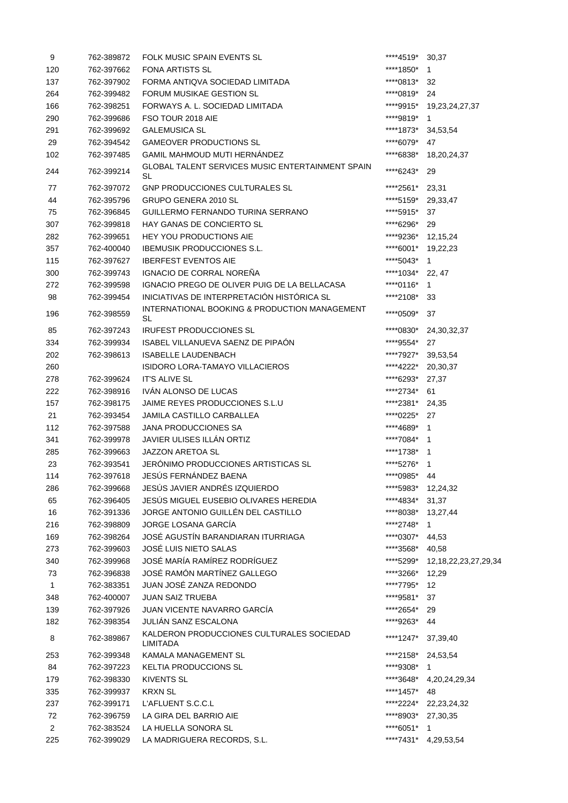| 9              | 762-389872 | FOLK MUSIC SPAIN EVENTS SL                                    | ****4519*  | 30,37                      |
|----------------|------------|---------------------------------------------------------------|------------|----------------------------|
| 120            | 762-397662 | <b>FONA ARTISTS SL</b>                                        | ****1850*  | $\mathbf{1}$               |
| 137            | 762-397902 | FORMA ANTIQVA SOCIEDAD LIMITADA                               | ****0813*  | 32                         |
| 264            | 762-399482 | <b>FORUM MUSIKAE GESTION SL</b>                               | ****0819*  | 24                         |
| 166            | 762-398251 | FORWAYS A. L. SOCIEDAD LIMITADA                               | ****9915*  | 19,23,24,27,37             |
| 290            | 762-399686 | FSO TOUR 2018 AIE                                             | ****9819*  | 1                          |
| 291            | 762-399692 | <b>GALEMUSICA SL</b>                                          | ****1873*  | 34,53,54                   |
| 29             | 762-394542 | <b>GAMEOVER PRODUCTIONS SL</b>                                | ****6079*  | 47                         |
| 102            | 762-397485 | GAMIL MAHMOUD MUTI HERNÁNDEZ                                  | ****6838*  | 18,20,24,37                |
| 244            | 762-399214 | <b>GLOBAL TALENT SERVICES MUSIC ENTERTAINMENT SPAIN</b><br>SL | ****6243*  | 29                         |
| 77             | 762-397072 | GNP PRODUCCIONES CULTURALES SL                                | *****2561* | 23,31                      |
| 44             | 762-395796 | GRUPO GENERA 2010 SL                                          | ****5159*  | 29,33,47                   |
| 75             | 762-396845 | GUILLERMO FERNANDO TURINA SERRANO                             | ****5915*  | 37                         |
| 307            | 762-399818 | <b>HAY GANAS DE CONCIERTO SL</b>                              | ****6296*  | 29                         |
| 282            | 762-399651 | <b>HEY YOU PRODUCTIONS AIE</b>                                | ****9236*  | 12,15,24                   |
| 357            | 762-400040 | <b>IBEMUSIK PRODUCCIONES S.L.</b>                             | ****6001*  | 19,22,23                   |
| 115            | 762-397627 | <b>IBERFEST EVENTOS AIE</b>                                   | ****5043*  | 1                          |
| 300            | 762-399743 | IGNACIO DE CORRAL NOREÑA                                      | ****1034*  | 22, 47                     |
| 272            | 762-399598 | IGNACIO PREGO DE OLIVER PUIG DE LA BELLACASA                  | ****0116*  | 1                          |
| 98             | 762-399454 | INICIATIVAS DE INTERPRETACIÓN HISTÓRICA SL                    | *****2108* | 33                         |
| 196            | 762-398559 | INTERNATIONAL BOOKING & PRODUCTION MANAGEMENT<br>SL           | ****0509*  | 37                         |
| 85             | 762-397243 | <b>IRUFEST PRODUCCIONES SL</b>                                | ****0830*  | 24,30,32,37                |
| 334            | 762-399934 | ISABEL VILLANUEVA SAENZ DE PIPAÓN                             | ****9554*  | 27                         |
| 202            | 762-398613 | <b>ISABELLE LAUDENBACH</b>                                    | ****7927*  | 39,53,54                   |
| 260            |            | ISIDORO LORA-TAMAYO VILLACIEROS                               | ****4222*  | 20,30,37                   |
| 278            | 762-399624 | <b>IT'S ALIVE SL</b>                                          | ****6293*  | 27,37                      |
| 222            | 762-398916 | IVÁN ALONSO DE LUCAS                                          | *****2734* | 61                         |
| 157            | 762-398175 | JAIME REYES PRODUCCIONES S.L.U                                | *****2381* | 24,35                      |
| 21             | 762-393454 | <b>JAMILA CASTILLO CARBALLEA</b>                              | ****0225*  | 27                         |
| 112            | 762-397588 | <b>JANA PRODUCCIONES SA</b>                                   | ****4689*  | 1                          |
| 341            | 762-399978 | JAVIER ULISES ILLÁN ORTIZ                                     | ****7084*  | 1                          |
| 285            | 762-399663 | <b>JAZZON ARETOA SL</b>                                       | ****1738*  | 1                          |
| 23             | 762-393541 | JERÓNIMO PRODUCCIONES ARTISTICAS SL                           | ****5276*  | 1                          |
| 114            | 762-397618 | JESÚS FERNÁNDEZ BAENA                                         | ****0985*  | 44                         |
| 286            | 762-399668 | JESÚS JAVIER ANDRÉS IZQUIERDO                                 | ****5983*  | 12,24,32                   |
| 65             | 762-396405 | JESÚS MIGUEL EUSEBIO OLIVARES HEREDIA                         | ****4834*  | 31,37                      |
| 16             | 762-391336 | JORGE ANTONIO GUILLÉN DEL CASTILLO                            | ****8038*  | 13,27,44                   |
| 216            | 762-398809 | JORGE LOSANA GARCÍA                                           | *****2748* | 1                          |
| 169            | 762-398264 | JOSÉ AGUSTÍN BARANDIARAN ITURRIAGA                            | ****0307*  | 44,53                      |
| 273            | 762-399603 | JOSÉ LUIS NIETO SALAS                                         | ****3568*  | 40,58                      |
| 340            | 762-399968 | JOSÉ MARÍA RAMÍREZ RODRÍGUEZ                                  | ****5299*  | 12, 18, 22, 23, 27, 29, 34 |
| 73             | 762-396838 | JOSÉ RAMÓN MARTÍNEZ GALLEGO                                   | ****3266*  | 12,29                      |
| $\mathbf{1}$   | 762-383351 | JUAN JOSÉ ZANZA REDONDO                                       | ****7795*  | 12                         |
| 348            | 762-400007 | JUAN SAIZ TRUEBA                                              | ****9581*  | 37                         |
| 139            | 762-397926 | <b>JUAN VICENTE NAVARRO GARCÍA</b>                            | ****2654*  | 29                         |
| 182            | 762-398354 | JULIÁN SANZ ESCALONA                                          | ****9263*  | 44                         |
| 8              | 762-389867 | KALDERON PRODUCCIONES CULTURALES SOCIEDAD<br>LIMITADA         | ****1247*  | 37,39,40                   |
| 253            | 762-399348 | KAMALA MANAGEMENT SL                                          | ****2158*  | 24,53,54                   |
| 84             | 762-397223 | <b>KELTIA PRODUCCIONS SL</b>                                  | ****9308*  | 1                          |
| 179            | 762-398330 | <b>KIVENTS SL</b>                                             | ****3648*  | 4,20,24,29,34              |
| 335            | 762-399937 | <b>KRXN SL</b>                                                | ****1457*  | 48                         |
| 237            | 762-399171 | L'AFLUENT S.C.C.L                                             | ****2224*  | 22, 23, 24, 32             |
| 72             | 762-396759 | LA GIRA DEL BARRIO AIE                                        | ****8903*  | 27,30,35                   |
| $\overline{2}$ | 762-383524 | LA HUELLA SONORA SL                                           | ****6051*  | 1                          |
| 225            | 762-399029 | LA MADRIGUERA RECORDS, S.L.                                   | ****7431*  | 4,29,53,54                 |
|                |            |                                                               |            |                            |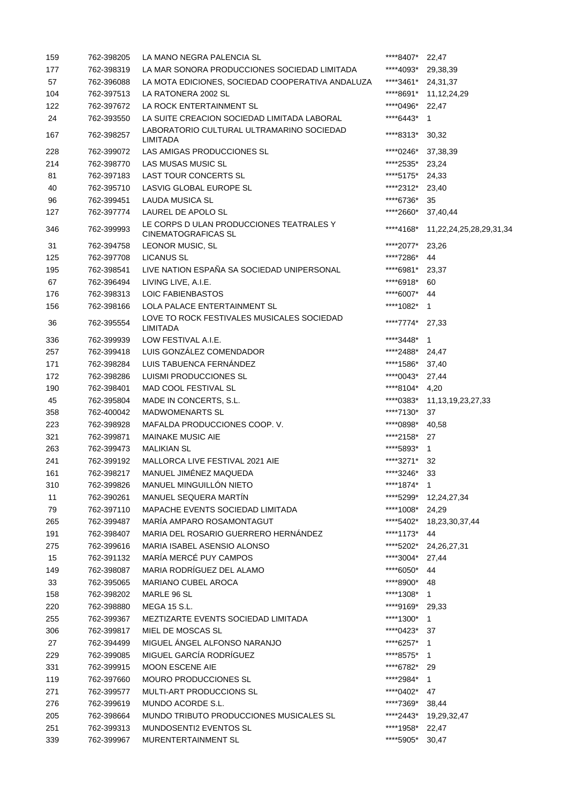| 159 | 762-398205 | LA MANO NEGRA PALENCIA SL                                              | ****8407*  | 22,47                   |
|-----|------------|------------------------------------------------------------------------|------------|-------------------------|
| 177 | 762-398319 | LA MAR SONORA PRODUCCIONES SOCIEDAD LIMITADA                           | ****4093*  | 29,38,39                |
| 57  | 762-396088 | LA MOTA EDICIONES, SOCIEDAD COOPERATIVA ANDALUZA                       | ****3461*  | 24,31,37                |
| 104 | 762-397513 | LA RATONERA 2002 SL                                                    | ****8691*  | 11, 12, 24, 29          |
| 122 | 762-397672 | LA ROCK ENTERTAINMENT SL                                               | ****0496*  | 22,47                   |
| 24  | 762-393550 | LA SUITE CREACION SOCIEDAD LIMITADA LABORAL                            | ****6443*  | 1                       |
| 167 | 762-398257 | LABORATORIO CULTURAL ULTRAMARINO SOCIEDAD<br><b>LIMITADA</b>           | ****8313*  | 30,32                   |
| 228 | 762-399072 | LAS AMIGAS PRODUCCIONES SL                                             | ****0246*  | 37,38,39                |
| 214 | 762-398770 | LAS MUSAS MUSIC SL                                                     | ****2535*  | 23,24                   |
| 81  | 762-397183 | <b>LAST TOUR CONCERTS SL</b>                                           | ****5175*  | 24,33                   |
| 40  | 762-395710 | LASVIG GLOBAL EUROPE SL                                                | ****2312*  | 23,40                   |
| 96  | 762-399451 | <b>LAUDA MUSICA SL</b>                                                 | ****6736*  | 35                      |
| 127 | 762-397774 | LAUREL DE APOLO SL                                                     | *****2660* | 37,40,44                |
| 346 | 762-399993 | LE CORPS D ULAN PRODUCCIONES TEATRALES Y<br><b>CINEMATOGRAFICAS SL</b> | ****4168*  | 11,22,24,25,28,29,31,34 |
| 31  | 762-394758 | LEONOR MUSIC, SL                                                       | ****2077*  | 23,26                   |
| 125 | 762-397708 | LICANUS SL                                                             | ****7286*  | 44                      |
| 195 | 762-398541 | LIVE NATION ESPAÑA SA SOCIEDAD UNIPERSONAL                             | ****6981*  | 23,37                   |
| 67  | 762-396494 | LIVING LIVE, A.I.E.                                                    | ****6918*  | 60                      |
| 176 | 762-398313 | LOIC FABIENBASTOS                                                      | ****6007*  | 44                      |
| 156 | 762-398166 | <b>LOLA PALACE ENTERTAINMENT SL</b>                                    | ****1082*  | 1                       |
| 36  | 762-395554 | LOVE TO ROCK FESTIVALES MUSICALES SOCIEDAD<br>LIMITADA                 | ****7774*  | 27,33                   |
| 336 | 762-399939 | LOW FESTIVAL A.I.E.                                                    | ****3448*  | 1                       |
| 257 | 762-399418 | LUIS GONZÁLEZ COMENDADOR                                               | ****2488*  | 24,47                   |
| 171 | 762-398284 | LUIS TABUENCA FERNÁNDEZ                                                | ****1586*  | 37,40                   |
| 172 | 762-398286 | LUISMI PRODUCCIONES SL                                                 | ****0043*  | 27,44                   |
| 190 | 762-398401 | MAD COOL FESTIVAL SL                                                   | ****8104*  | 4,20                    |
| 45  | 762-395804 | MADE IN CONCERTS, S.L.                                                 | ****0383*  | 11, 13, 19, 23, 27, 33  |
| 358 | 762-400042 | <b>MADWOMENARTS SL</b>                                                 | ****7130*  | 37                      |
| 223 | 762-398928 | MAFALDA PRODUCCIONES COOP. V.                                          | ****0898*  | 40,58                   |
| 321 | 762-399871 | <b>MAINAKE MUSIC AIE</b>                                               | ****2158*  | 27                      |
| 263 | 762-399473 | <b>MALIKIAN SL</b>                                                     | ****5893*  | $\mathbf{1}$            |
| 241 | 762-399192 | MALLORCA LIVE FESTIVAL 2021 AIE                                        | ****3271*  | 32                      |
| 161 | 762-398217 | MANUEL JIMÉNEZ MAQUEDA                                                 | ****3246*  | 33                      |
| 310 | 762-399826 | MANUEL MINGUILLÓN NIETO                                                | ****1874*  | $\mathbf{1}$            |
| 11  | 762-390261 | MANUEL SEQUERA MARTÍN                                                  | ****5299*  | 12,24,27,34             |
| 79  | 762-397110 | MAPACHE EVENTS SOCIEDAD LIMITADA                                       | ****1008*  | 24,29                   |
| 265 | 762-399487 | MARÍA AMPARO ROSAMONTAGUT                                              | ****5402*  | 18,23,30,37,44          |
| 191 | 762-398407 | MARIA DEL ROSARIO GUERRERO HERNÁNDEZ                                   | ****1173*  | 44                      |
| 275 | 762-399616 | MARIA ISABEL ASENSIO ALONSO                                            | ****5202*  | 24, 26, 27, 31          |
| 15  | 762-391132 | MARÍA MERCÉ PUY CAMPOS                                                 | ****3004*  | 27,44                   |
| 149 | 762-398087 | MARIA RODRÍGUEZ DEL ALAMO                                              | ****6050*  | 44                      |
| 33  |            | <b>MARIANO CUBEL AROCA</b>                                             | ****8900*  |                         |
|     | 762-395065 |                                                                        |            | 48                      |
| 158 | 762-398202 | MARLE 96 SL                                                            | ****1308*  | $\mathbf{1}$            |
| 220 | 762-398880 | <b>MEGA 15 S.L.</b>                                                    | ****9169*  | 29,33                   |
| 255 | 762-399367 | MEZTIZARTE EVENTS SOCIEDAD LIMITADA                                    | ****1300*  | $\mathbf{1}$            |
| 306 | 762-399817 | MIEL DE MOSCAS SL                                                      | ****0423*  | 37                      |
| 27  | 762-394499 | MIGUEL ÁNGEL ALFONSO NARANJO                                           | ****6257*  | $\mathbf{1}$            |
| 229 | 762-399085 | MIGUEL GARCÍA RODRÍGUEZ                                                | ****8575*  | $\mathbf{1}$            |
| 331 | 762-399915 | <b>MOON ESCENE AIE</b>                                                 | ****6782*  | 29                      |
| 119 | 762-397660 | MOURO PRODUCCIONES SL                                                  | ****2984*  | $\mathbf{1}$            |
| 271 | 762-399577 | MULTI-ART PRODUCCIONS SL                                               | ****0402*  | 47                      |
| 276 | 762-399619 | MUNDO ACORDE S.L.                                                      | ****7369*  | 38,44                   |
| 205 | 762-398664 | MUNDO TRIBUTO PRODUCCIONES MUSICALES SL                                | ****2443*  | 19,29,32,47             |
| 251 | 762-399313 | MUNDOSENTI2 EVENTOS SL                                                 | ****1958*  | 22,47                   |
| 339 | 762-399967 | MURENTERTAINMENT SL                                                    | ****5905*  | 30,47                   |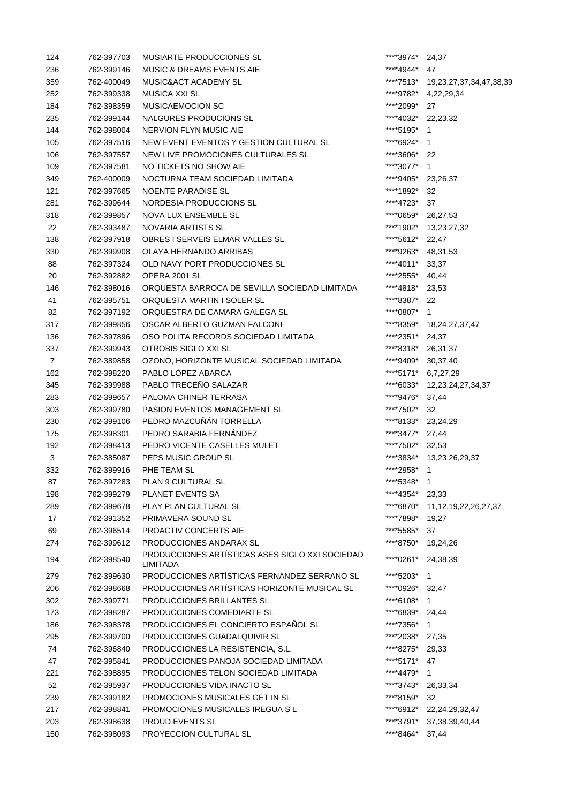| 124            | 762-397703 | MUSIARTE PRODUCCIONES SL                        | ****3974*       | 24,37                       |
|----------------|------------|-------------------------------------------------|-----------------|-----------------------------|
| 236            | 762-399146 | <b>MUSIC &amp; DREAMS EVENTS AIE</b>            | ****4944*       | 47                          |
| 359            | 762-400049 | MUSIC&ACT ACADEMY SL                            | ****7513*       | 19,23,27,37,34,47,38,39     |
| 252            | 762-399338 | <b>MUSICA XXI SL</b>                            | ****9782*       | 4,22,29,34                  |
| 184            | 762-398359 | <b>MUSICAEMOCION SC</b>                         | ****2099*       | 27                          |
| 235            | 762-399144 | NALGURES PRODUCIONS SL                          | ****4032*       | 22,23,32                    |
| 144            | 762-398004 | NERVION FLYN MUSIC AIE                          | ****5195*       | $\mathbf{1}$                |
| 105            | 762-397516 | NEW EVENT EVENTOS Y GESTION CULTURAL SL         | ****6924*       | $\mathbf{1}$                |
| 106            | 762-397557 | NEW LIVE PROMOCIONES CULTURALES SL              | ****3606*       | 22                          |
| 109            | 762-397581 | NO TICKETS NO SHOW AIE                          | ****3077*       | $\mathbf{1}$                |
|                |            |                                                 |                 |                             |
| 349            | 762-400009 | NOCTURNA TEAM SOCIEDAD LIMITADA                 | ****9405*       | 23,26,37                    |
| 121            | 762-397665 | NOENTE PARADISE SL                              | ****1892*       | 32                          |
| 281            | 762-399644 | NORDESIA PRODUCCIONS SL                         | ****4723*       | 37                          |
| 318            | 762-399857 | NOVA LUX ENSEMBLE SL                            | ****0659*       | 26,27,53                    |
| 22             | 762-393487 | NOVARIA ARTISTS SL                              | ****1902*       | 13,23,27,32                 |
| 138            | 762-397918 | OBRES I SERVEIS ELMAR VALLES SL                 | ****5612*       | 22,47                       |
| 330            | 762-399908 | OLAYA HERNANDO ARRIBAS                          | ****9263*       | 48, 31, 53                  |
| 88             | 762-397324 | OLD NAVY PORT PRODUCCIONES SL                   | ****4011*       | 33,37                       |
| 20             | 762-392882 | OPERA 2001 SL                                   | ****2555*       | 40,44                       |
| 146            | 762-398016 | ORQUESTA BARROCA DE SEVILLA SOCIEDAD LIMITADA   | ****4818*       | 23,53                       |
| 41             | 762-395751 | ORQUESTA MARTIN I SOLER SL                      | ****8387*       | 22                          |
| 82             | 762-397192 | ORQUESTRA DE CAMARA GALEGA SL                   | ****0807* 1     |                             |
| 317            | 762-399856 | OSCAR ALBERTO GUZMAN FALCONI                    |                 | ****8359* 18,24,27,37,47    |
| 136            | 762-397896 | OSO POLITA RECORDS SOCIEDAD LIMITADA            | ****2351* 24,37 |                             |
| 337            | 762-399943 | OTROBIS SIGLO XXI SL                            | ****8318*       | 26,31,37                    |
| $\overline{7}$ | 762-389858 | OZONO, HORIZONTE MUSICAL SOCIEDAD LIMITADA      | ****9409*       | 30,37,40                    |
| 162            | 762-398220 | PABLO LÓPEZ ABARCA                              | ****5171*       | 6,7,27,29                   |
| 345            | 762-399988 | PABLO TRECEÑO SALAZAR                           |                 | ****6033* 12,23,24,27,34,37 |
| 283            | 762-399657 | PALOMA CHINER TERRASA                           | ****9476*       | 37,44                       |
| 303            | 762-399780 | PASION EVENTOS MANAGEMENT SL                    | ****7502*       | 32                          |
| 230            | 762-399106 | PEDRO MAZCUÑÁN TORRELLA                         | ****8133*       | 23,24,29                    |
| 175            | 762-398301 | PEDRO SARABIA FERNANDEZ                         | ****3477*       | 27,44                       |
| 192            | 762-398413 | PEDRO VICENTE CASELLES MULET                    | ****7502*       | 32,53                       |
| 3              | 762-385087 | PEPS MUSIC GROUP SL                             | ****3834*       | 13,23,26,29,37              |
| 332            | 762-399916 | PHE TEAM SL                                     | ****2958*       | $\mathbf{1}$                |
| 87             | 762-397283 | PLAN 9 CULTURAL SL                              | *****5348*      | 1                           |
| 198            | 762-399279 | PLANET EVENTS SA                                | ****4354*       | 23,33                       |
| 289            | 762-399678 | PLAY PLAN CULTURAL SL                           | ****6870*       | 11, 12, 19, 22, 26, 27, 37  |
| 17             | 762-391352 | PRIMAVERA SOUND SL                              | ****7898*       | 19,27                       |
| 69             | 762-396514 | PROACTIV CONCERTS AIE                           | ****5585*       | 37                          |
| 274            | 762-399612 | PRODUCCIONES ANDARAX SL                         | ****8750*       | 19,24,26                    |
|                |            | PRODUCCIONES ARTÍSTICAS ASES SIGLO XXI SOCIEDAD |                 |                             |
| 194            | 762-398540 | <b>LIMITADA</b>                                 | ****0261*       | 24,38,39                    |
| 279            | 762-399630 | PRODUCCIONES ARTÍSTICAS FERNANDEZ SERRANO SL    | ****5203* 1     |                             |
| 206            | 762-398668 | PRODUCCIONES ARTÍSTICAS HORIZONTE MUSICAL SL    | ****0926*       | 32,47                       |
| 302            | 762-399771 | PRODUCCIONES BRILLANTES SL                      | ****6108*       | 1                           |
| 173            | 762-398287 | PRODUCCIONES COMEDIARTE SL                      | ****6839*       | 24,44                       |
| 186            | 762-398378 | PRODUCCIONES EL CONCIERTO ESPAÑOL SL            | ****7356*       | 1                           |
| 295            | 762-399700 | PRODUCCIONES GUADALQUIVIR SL                    | ****2038*       | 27,35                       |
| 74             | 762-396840 | PRODUCCIONES LA RESISTENCIA, S.L.               | ****8275*       | 29,33                       |
| 47             | 762-395841 | PRODUCCIONES PANOJA SOCIEDAD LIMITADA           | ****5171*       | 47                          |
| 221            | 762-398895 | PRODUCCIONES TELON SOCIEDAD LIMITADA            | ****4479* 1     |                             |
| 52             | 762-395937 | PRODUCCIONES VIDA INACTO SL                     | *****3743*      | 26,33,34                    |
| 239            | 762-399182 | PROMOCIONES MUSICALES GET IN SL                 | ****8159*       | 32                          |
| 217            | 762-398841 | PROMOCIONES MUSICALES IREGUA S L                | ****6912*       | 22, 24, 29, 32, 47          |
| 203            |            | PROUD EVENTS SL                                 | ****3791*       |                             |
|                | 762-398638 |                                                 |                 | 37, 38, 39, 40, 44          |
| 150            | 762-398093 | PROYECCION CULTURAL SL                          | ****8464*       | 37,44                       |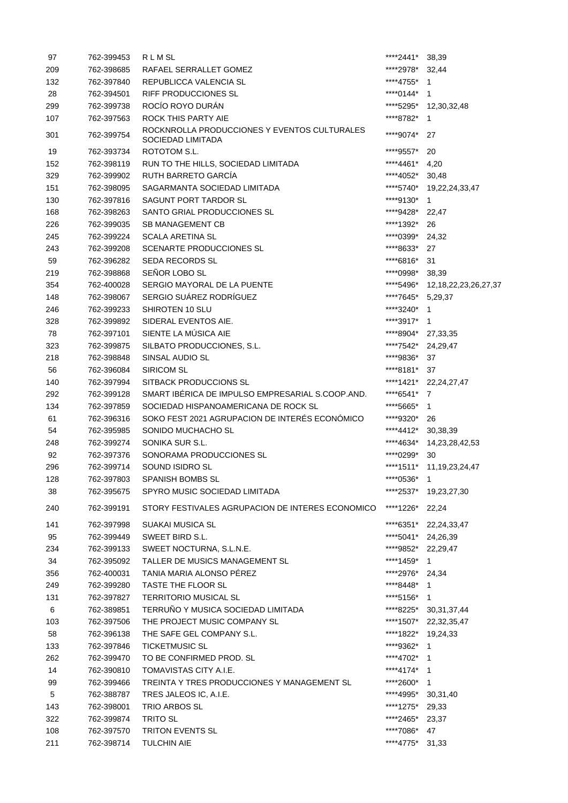| 97        | 762-399453               | RLMSL                                                                             | ****2441*              | 38,39                      |
|-----------|--------------------------|-----------------------------------------------------------------------------------|------------------------|----------------------------|
| 209       | 762-398685               | RAFAEL SERRALLET GOMEZ                                                            | *****2978*             | 32,44                      |
| 132       | 762-397840               | REPUBLICCA VALENCIA SL                                                            | ****4755*              | $\overline{1}$             |
| 28        | 762-394501               | <b>RIFF PRODUCCIONES SL</b>                                                       | ****0144*              | $\overline{1}$             |
| 299       | 762-399738               | ROCÍO ROYO DURÁN                                                                  | ****5295*              | 12,30,32,48                |
| 107       | 762-397563               | ROCK THIS PARTY AIE                                                               | ****8782*              | 1                          |
| 301       | 762-399754               | ROCKNROLLA PRODUCCIONES Y EVENTOS CULTURALES<br>SOCIEDAD LIMITADA                 | ****9074*              | 27                         |
| 19        | 762-393734               | ROTOTOM S.L.                                                                      | ****9557*              | 20                         |
| 152       | 762-398119               | RUN TO THE HILLS, SOCIEDAD LIMITADA                                               | ****4461*              | 4,20                       |
| 329       | 762-399902               | RUTH BARRETO GARCÍA                                                               | ****4052*              | 30,48                      |
| 151       | 762-398095               | SAGARMANTA SOCIEDAD LIMITADA                                                      | ****5740*              | 19,22,24,33,47             |
| 130       | 762-397816               | SAGUNT PORT TARDOR SL                                                             | ****9130*              | $\overline{1}$             |
| 168       | 762-398263               | SANTO GRIAL PRODUCCIONES SL                                                       | ****9428*              | 22,47                      |
| 226       | 762-399035               | <b>SB MANAGEMENT CB</b>                                                           | ****1392*              | 26                         |
| 245       | 762-399224               | <b>SCALA ARETINA SL</b>                                                           | ****0399*              | 24,32                      |
| 243       | 762-399208               | <b>SCENARTE PRODUCCIONES SL</b>                                                   | ****8633*              | 27                         |
| 59        | 762-396282               | <b>SEDA RECORDS SL</b>                                                            | ****6816*              | 31                         |
| 219       | 762-398868               | SEÑOR LOBO SL                                                                     | *****0998*             | 38,39                      |
| 354       | 762-400028               | SERGIO MAYORAL DE LA PUENTE                                                       | ****5496*              | 12, 18, 22, 23, 26, 27, 37 |
| 148       | 762-398067               | SERGIO SUÁREZ RODRÍGUEZ                                                           | ****7645* 5,29,37      |                            |
| 246       | 762-399233               | SHIROTEN 10 SLU                                                                   | *****3240*             | - 1                        |
| 328       | 762-399892               | SIDERAL EVENTOS AIE.                                                              | ****3917*              | $\overline{1}$             |
| 78        | 762-397101               | SIENTE LA MÚSICA AIE                                                              | ****8904* 27,33,35     |                            |
| 323       | 762-399875               | SILBATO PRODUCCIONES, S.L.                                                        | *****7542*             | 24,29,47                   |
| 218       | 762-398848               | SINSAL AUDIO SL                                                                   | ****9836*              | 37                         |
| 56        | 762-396084               | <b>SIRICOM SL</b>                                                                 | ****8181*              | 37                         |
| 140       | 762-397994               | SITBACK PRODUCCIONS SL                                                            | ****1421*              | 22, 24, 27, 47             |
| 292       | 762-399128               | SMART IBÉRICA DE IMPULSO EMPRESARIAL S.COOP.AND.                                  | ****6541*              | 7                          |
| 134       | 762-397859               | SOCIEDAD HISPANOAMERICANA DE ROCK SL                                              | ****5665*              | 1                          |
|           | 762-396316               | SOKO FEST 2021 AGRUPACION DE INTERÉS ECONÓMICO                                    | ****9320*              |                            |
| 61<br>54  | 762-395985               | SONIDO MUCHACHO SL                                                                | ****4412*              | 26<br>30,38,39             |
| 248       | 762-399274               | SONIKA SUR S.L.                                                                   | ****4634*              | 14,23,28,42,53             |
|           |                          | SONORAMA PRODUCCIONES SL                                                          | ****0299*              |                            |
| 92        | 762-397376<br>762-399714 | SOUND ISIDRO SL                                                                   | ****1511*              | 30                         |
| 296       |                          |                                                                                   |                        | 11, 19, 23, 24, 47         |
| 128       | 762-397803               | SPANISH BOMBS SL                                                                  | *****0536*             | 1                          |
| 38<br>240 | 762-395675<br>762-399191 | SPYRO MUSIC SOCIEDAD LIMITADA<br>STORY FESTIVALES AGRUPACION DE INTERES ECONOMICO | ****2537*<br>****1226* | 19,23,27,30<br>22,24       |
|           |                          |                                                                                   |                        |                            |
| 141       | 762-397998               | SUAKAI MUSICA SL                                                                  |                        | ****6351* 22,24,33,47      |
| 95        | 762-399449               | SWEET BIRD S.L.                                                                   | ****5041* 24,26,39     |                            |
| 234       | 762-399133               | SWEET NOCTURNA, S.L.N.E.                                                          |                        | ****9852* 22,29,47         |
| 34        | 762-395092               | TALLER DE MUSICS MANAGEMENT SL                                                    | ****1459*              | $\overline{1}$             |
| 356       | 762-400031               | TANIA MARIA ALONSO PÉREZ                                                          | ****2976* 24,34        |                            |
| 249       | 762-399280               | TASTE THE FLOOR SL                                                                | ****8448* 1            |                            |
| 131       | 762-397827               | <b>TERRITORIO MUSICAL SL</b>                                                      | ****5156* 1            |                            |
| 6         | 762-389851               | TERRUÑO Y MUSICA SOCIEDAD LIMITADA                                                |                        | ****8225* 30,31,37,44      |
| 103       | 762-397506               | THE PROJECT MUSIC COMPANY SL                                                      |                        | ****1507* 22,32,35,47      |
| 58        | 762-396138               | THE SAFE GEL COMPANY S.L.                                                         |                        | ****1822* 19,24,33         |
| 133       | 762-397846               | <b>TICKETMUSIC SL</b>                                                             | ****9362* 1            |                            |
| 262       | 762-399470               | TO BE CONFIRMED PROD. SL                                                          | ****4702* 1            |                            |
| 14        | 762-390810               | TOMAVISTAS CITY A.I.E.                                                            | ****4174* 1            |                            |
| 99        | 762-399466               | TREINTA Y TRES PRODUCCIONES Y MANAGEMENT SL                                       | *****2600*             | $\overline{1}$             |
| 5         | 762-388787               | TRES JALEOS IC, A.I.E.                                                            |                        | ****4995* 30,31,40         |
| 143       | 762-398001               | TRIO ARBOS SL                                                                     | ****1275* 29,33        |                            |
| 322       | 762-399874               | <b>TRITO SL</b>                                                                   | ****2465* 23,37        |                            |
| 108       | 762-397570               | TRITON EVENTS SL                                                                  | ****7086* 47           |                            |
| 211       | 762-398714               | <b>TULCHIN AIE</b>                                                                | ****4775*              | 31,33                      |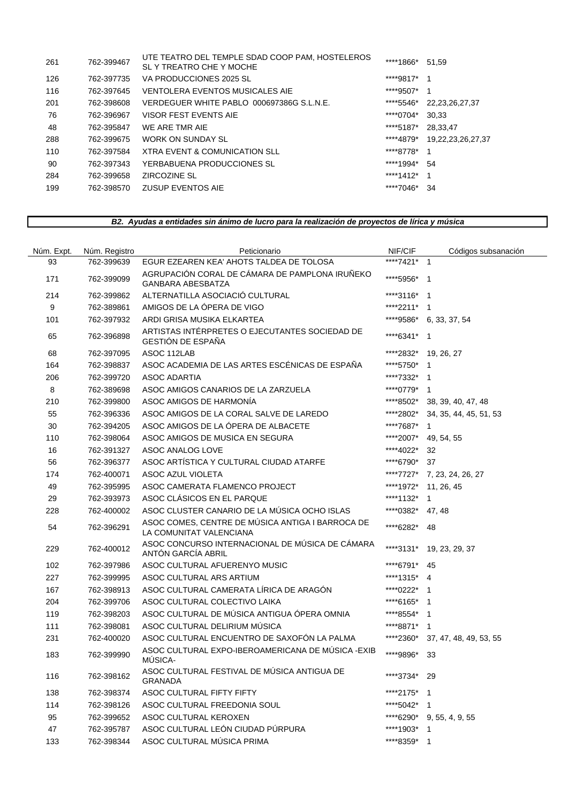| 261 | 762-399467 | UTE TEATRO DEL TEMPLE SDAD COOP PAM, HOSTELEROS<br>SL Y TREATRO CHE Y MOCHE | ****1866* | 51.59                  |
|-----|------------|-----------------------------------------------------------------------------|-----------|------------------------|
| 126 | 762-397735 | VA PRODUCCIONES 2025 SL                                                     | ****9817* |                        |
| 116 | 762-397645 | VENTOLERA EVENTOS MUSICALES AIE                                             | ****9507* |                        |
| 201 | 762-398608 | VERDEGUER WHITE PABLO 000697386G S.L.N.E.                                   | ****5546* | 22, 23, 26, 27, 37     |
| 76  | 762-396967 | VISOR FEST EVENTS AIE                                                       | ****0704* | 30.33                  |
| 48  | 762-395847 | WE ARE TMR AIE                                                              | ****5187* | 28.33.47               |
| 288 | 762-399675 | WORK ON SUNDAY SL                                                           | ****4879* | 19, 22, 23, 26, 27, 37 |
| 110 | 762-397584 | XTRA EVENT & COMUNICATION SLL                                               | ****8778* |                        |
| 90  | 762-397343 | YERBABUENA PRODUCCIONES SL                                                  | ****1994* | 54                     |
| 284 | 762-399658 | ZIRCOZINE SL                                                                | ****1412* | - 1                    |
| 199 | 762-398570 | ZUSUP EVENTOS AIE                                                           | ****7046* | -34                    |
|     |            |                                                                             |           |                        |

# *B2. Ayudas a entidades sin ánimo de lucro para la realización de proyectos de lírica y música*

| Núm. Expt. | Núm. Registro | Peticionario                                                                | NIF/CIF     | Códigos subsanación       |
|------------|---------------|-----------------------------------------------------------------------------|-------------|---------------------------|
| 93         | 762-399639    | EGUR EZEAREN KEA' AHOTS TALDEA DE TOLOSA                                    | ****7421* 1 |                           |
| 171        | 762-399099    | AGRUPACIÓN CORAL DE CÁMARA DE PAMPLONA IRUÑEKO<br><b>GANBARA ABESBATZA</b>  | ****5956*   | - 1                       |
| 214        | 762-399862    | ALTERNATILLA ASOCIACIÓ CULTURAL                                             | ****3116*   | -1                        |
| 9          | 762-389861    | AMIGOS DE LA ÓPERA DE VIGO                                                  | ****2211*   | $\overline{1}$            |
| 101        | 762-397932    | ARDI GRISA MUSIKA ELKARTEA                                                  |             | ****9586* 6, 33, 37, 54   |
| 65         | 762-396898    | ARTISTAS INTÉRPRETES O EJECUTANTES SOCIEDAD DE<br>GESTIÓN DE ESPAÑA         | ****6341*   | $\overline{1}$            |
| 68         | 762-397095    | ASOC 112LAB                                                                 | *****2832*  | 19, 26, 27                |
| 164        | 762-398837    | ASOC ACADEMIA DE LAS ARTES ESCÉNICAS DE ESPAÑA                              | ****5750*   | $\mathbf 1$               |
| 206        | 762-399720    | <b>ASOC ADARTIA</b>                                                         | ****7332*   | $\overline{1}$            |
| 8          | 762-389698    | ASOC AMIGOS CANARIOS DE LA ZARZUELA                                         | ****0779*   | $\overline{1}$            |
| 210        | 762-399800    | ASOC AMIGOS DE HARMONÍA                                                     | ****8502*   | 38, 39, 40, 47, 48        |
| 55         | 762-396336    | ASOC AMIGOS DE LA CORAL SALVE DE LAREDO                                     | ****2802*   | 34, 35, 44, 45, 51, 53    |
| 30         | 762-394205    | ASOC AMIGOS DE LA ÓPERA DE ALBACETE                                         | ****7687*   | $\mathbf{1}$              |
| 110        | 762-398064    | ASOC AMIGOS DE MUSICA EN SEGURA                                             | ****2007*   | 49, 54, 55                |
| 16         | 762-391327    | ASOC ANALOG LOVE                                                            | ****4022*   | 32                        |
| 56         | 762-396377    | ASOC ARTÍSTICA Y CULTURAL CIUDAD ATARFE                                     | ****6790*   | 37                        |
| 174        | 762-400071    | <b>ASOC AZUL VIOLETA</b>                                                    | ****7727*   | 7, 23, 24, 26, 27         |
| 49         | 762-395995    | ASOC CAMERATA FLAMENCO PROJECT                                              | ****1972*   | 11, 26, 45                |
| 29         | 762-393973    | ASOC CLÁSICOS EN EL PARQUE                                                  | ****1132*   | $\mathbf{1}$              |
| 228        | 762-400002    | ASOC CLUSTER CANARIO DE LA MÚSICA OCHO ISLAS                                | ****0382*   | 47, 48                    |
| 54         | 762-396291    | ASOC COMES, CENTRE DE MÚSICA ANTIGA I BARROCA DE<br>LA COMUNITAT VALENCIANA | ****6282*   | 48                        |
| 229        | 762-400012    | ASOC CONCURSO INTERNACIONAL DE MÚSICA DE CÁMARA<br>ANTÓN GARCÍA ABRIL       | ****3131*   | 19, 23, 29, 37            |
| 102        | 762-397986    | ASOC CULTURAL AFUERENYO MUSIC                                               | ****6791*   | 45                        |
| 227        | 762-399995    | ASOC CULTURAL ARS ARTIUM                                                    | ****1315*   | $\overline{4}$            |
| 167        | 762-398913    | ASOC CULTURAL CAMERATA LÍRICA DE ARAGÓN                                     | ****0222*   | $\overline{1}$            |
| 204        | 762-399706    | ASOC CULTURAL COLECTIVO LAIKA                                               | ****6165* 1 |                           |
| 119        | 762-398203    | ASOC CULTURAL DE MÚSICA ANTIGUA ÓPERA OMNIA                                 | ****8554*   | $\overline{1}$            |
| 111        | 762-398081    | ASOC CULTURAL DELIRIUM MÚSICA                                               | ****8871*   | $\overline{1}$            |
| 231        | 762-400020    | ASOC CULTURAL ENCUENTRO DE SAXOFÓN LA PALMA                                 | *****2360*  | 37, 47, 48, 49, 53, 55    |
| 183        | 762-399990    | ASOC CULTURAL EXPO-IBEROAMERICANA DE MÚSICA - EXIB<br>MÚSICA-               | ****9896*   | 33                        |
| 116        | 762-398162    | ASOC CULTURAL FESTIVAL DE MÚSICA ANTIGUA DE<br><b>GRANADA</b>               | ****3734*   | 29                        |
| 138        | 762-398374    | ASOC CULTURAL FIFTY FIFTY                                                   | ****2175* 1 |                           |
| 114        | 762-398126    | ASOC CULTURAL FREEDONIA SOUL                                                | ****5042* 1 |                           |
| 95         | 762-399652    | ASOC CULTURAL KEROXEN                                                       |             | ****6290* 9, 55, 4, 9, 55 |
| 47         | 762-395787    | ASOC CULTURAL LEÓN CIUDAD PÚRPURA                                           | ****1903* 1 |                           |
| 133        | 762-398344    | ASOC CULTURAL MÚSICA PRIMA                                                  | ****8359* 1 |                           |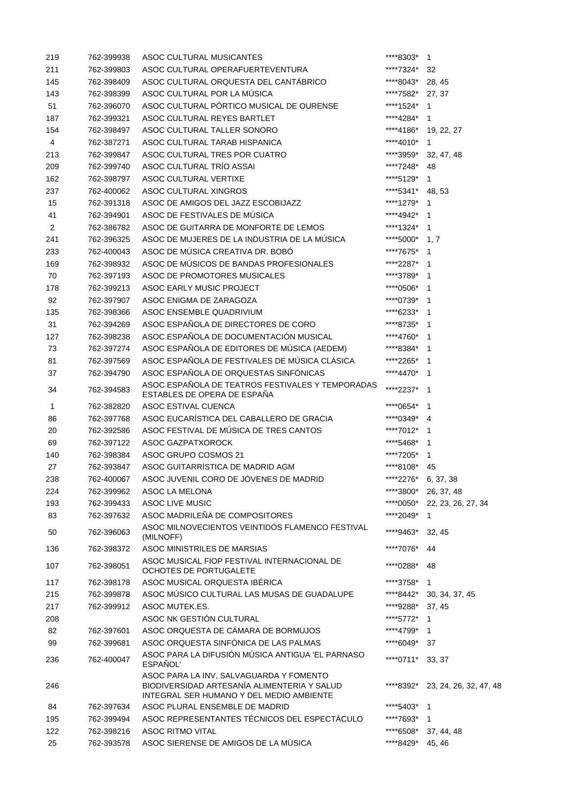| 219            | 762-399938 | ASOC CULTURAL MUSICANTES                                                                                                           | ****8303*           | 1                       |
|----------------|------------|------------------------------------------------------------------------------------------------------------------------------------|---------------------|-------------------------|
| 211            | 762-399803 | ASOC CULTURAL OPERAFUERTEVENTURA                                                                                                   | ****7324*           | 32                      |
| 145            | 762-398409 | ASOC CULTURAL ORQUESTA DEL CANTÁBRICO                                                                                              | ****8043*           | 28, 45                  |
| 143            | 762-398399 | ASOC CULTURAL POR LA MÚSICA                                                                                                        | *****7582*          | 27, 37                  |
| 51             | 762-396070 | ASOC CULTURAL PÓRTICO MUSICAL DE OURENSE                                                                                           | ****1524*           | -1                      |
| 187            | 762-399321 | ASOC CULTURAL REYES BARTLET                                                                                                        | ****4284*           | 1                       |
| 154            | 762-398497 | ASOC CULTURAL TALLER SONORO                                                                                                        | ****4186*           | 19, 22, 27              |
| 4              | 762-387271 | ASOC CULTURAL TARAB HISPANICA                                                                                                      | ****4010*           | 1                       |
| 213            | 762-399847 | ASOC CULTURAL TRES POR CUATRO                                                                                                      | ****3959*           | 32, 47, 48              |
| 209            | 762-399740 | ASOC CULTURAL TRÍO ASSAI                                                                                                           | ****7248*           | 48                      |
| 162            | 762-398797 | ASOC CULTURAL VERTIXE                                                                                                              | ****5129*           | $\mathbf{1}$            |
| 237            | 762-400062 | ASOC CULTURAL XINGROS                                                                                                              | ****5341*           | 48, 53                  |
| 15             | 762-391318 | ASOC DE AMIGOS DEL JAZZ ESCOBIJAZZ                                                                                                 | ****1279*           | $\mathbf 1$             |
| 41             | 762-394901 | ASOC DE FESTIVALES DE MÚSICA                                                                                                       | ****4942* 1         |                         |
| $\overline{2}$ | 762-386782 | ASOC DE GUITARRA DE MONFORTE DE LEMOS                                                                                              | ****1324*           | -1                      |
| 241            | 762-396325 | ASOC DE MUJERES DE LA INDUSTRIA DE LA MÚSICA                                                                                       | ****5000*           | 1, 7                    |
| 233            | 762-400043 | ASOC DE MÚSICA CREATIVA DR. BOBÓ                                                                                                   | ****7675*           | -1                      |
| 169            | 762-398932 | ASOC DE MÚSICOS DE BANDAS PROFESIONALES                                                                                            | *****2287*          | - 1                     |
| 70             | 762-397193 | ASOC DE PROMOTORES MUSICALES                                                                                                       | ****3789*           | 1                       |
| 178            | 762-399213 | ASOC EARLY MUSIC PROJECT                                                                                                           | ****0506*           | 1                       |
| 92             | 762-397907 | ASOC ENIGMA DE ZARAGOZA                                                                                                            | ****0739*           | $\mathbf 1$             |
| 135            | 762-398366 | ASOC ENSEMBLE QUADRIVIUM                                                                                                           | ****6233*           | -1                      |
| 31             | 762-394269 | ASOC ESPAÑOLA DE DIRECTORES DE CORO                                                                                                | ****8735*           | 1                       |
| 127            | 762-398238 | ASOC ESPAÑOLA DE DOCUMENTACIÓN MUSICAL                                                                                             | ****4760*           | 1                       |
| 73             | 762-397274 | ASOC ESPAÑOLA DE EDITORES DE MÚSICA (AEDEM)                                                                                        | ****8384*           | 1                       |
| 81             | 762-397569 | ASOC ESPAÑOLA DE FESTIVALES DE MÚSICA CLÁSICA                                                                                      | ****2265*           | -1                      |
| 37             | 762-394790 | ASOC ESPAÑOLA DE ORQUESTAS SINFÓNICAS                                                                                              | ****4470*           | $\mathbf 1$             |
| 34             | 762-394583 | ASOC ESPAÑOLA DE TEATROS FESTIVALES Y TEMPORADAS<br>ESTABLES DE OPERA DE ESPAÑA                                                    | ****2237*           | - 1                     |
| 1              | 762-382820 | ASOC ESTIVAL CUENCA                                                                                                                | ****0654*           | 1                       |
| 86             | 762-397768 | ASOC EUCARÍSTICA DEL CABALLERO DE GRACIA                                                                                           | ****0349*           | 4                       |
| 20             | 762-392586 | ASOC FESTIVAL DE MÚSICA DE TRES CANTOS                                                                                             | ****7012*           | 1                       |
| 69             | 762-397122 | <b>ASOC GAZPATXOROCK</b>                                                                                                           | ****5468*           | 1                       |
| 140            | 762-398384 | ASOC GRUPO COSMOS 21                                                                                                               | ****7205*           | $\mathbf 1$             |
| 27             | 762-393847 | ASOC GUITARRÍSTICA DE MADRID AGM                                                                                                   | ****8108*           | 45                      |
| 238            | 762-400067 | ASOC JUVENIL CORO DE JÓVENES DE MADRID                                                                                             | ****2276* 6, 37, 38 |                         |
| 224            | 762-399962 | ASOC LA MELONA                                                                                                                     | *****3800*          | 26, 37, 48              |
| 193            | 762-399433 | <b>ASOC LIVE MUSIC</b>                                                                                                             | ****0050*           | 22, 23, 26, 27, 34      |
| 83             | 762-397632 | ASOC MADRILEÑA DE COMPOSITORES                                                                                                     | ****2049*           | 1                       |
| 50             | 762-396063 | ASOC MILNOVECIENTOS VEINTIDÓS FLAMENCO FESTIVAL<br>(MILNOFF)                                                                       | ****9463*           | 32, 45                  |
| 136            | 762-398372 | ASOC MINISTRILES DE MARSIAS                                                                                                        | ****7076*           | 44                      |
| 107            | 762-398051 | ASOC MUSICAL FIOP FESTIVAL INTERNACIONAL DE<br>OCHOTES DE PORTUGALETE                                                              | ****0288*           | 48                      |
| 117            | 762-398178 | ASOC MUSICAL ORQUESTA IBÉRICA                                                                                                      | ****3758*           | 1                       |
| 215            | 762-399878 | ASOC MÚSICO CULTURAL LAS MUSAS DE GUADALUPE                                                                                        | ****8442*           | 30, 34, 37, 45          |
| 217            | 762-399912 | ASOC MUTEK.ES.                                                                                                                     | ****9288*           | 37, 45                  |
| 208            |            | ASOC NK GESTIÓN CULTURAL                                                                                                           | ****5772*           | 1                       |
| 82             | 762-397601 | ASOC ORQUESTA DE CÁMARA DE BORMUJOS                                                                                                | ****4799*           | $\mathbf{1}$            |
| 99             | 762-399681 | ASOC ORQUESTA SINFÓNICA DE LAS PALMAS                                                                                              | ****6049*           | 37                      |
| 236            | 762-400047 | ASOC PARA LA DIFUSIÓN MÚSICA ANTIGUA 'EL PARNASO<br>ESPAÑOL'                                                                       | ****0711*           | 33, 37                  |
| 246            |            | ASOC PARA LA INV, SALVAGUARDA Y FOMENTO<br>BIODIVERSIDAD ARTESANÍA ALIMENTERIA Y SALUD<br>INTEGRAL SER HUMANO Y DEL MEDIO AMBIENTE | ****8392*           | 23, 24, 26, 32, 47, 48  |
| 84             | 762-397634 | ASOC PLURAL ENSEMBLE DE MADRID                                                                                                     | ****5403*           | $\overline{\mathbf{1}}$ |
| 195            | 762-399494 | ASOC REPRESENTANTES TÉCNICOS DEL ESPECTÁCULO                                                                                       | ****7693*           | $\mathbf{1}$            |
| 122            | 762-398216 | <b>ASOC RITMO VITAL</b>                                                                                                            | ****6508*           | 37, 44, 48              |
| 25             | 762-393578 | ASOC SIERENSE DE AMIGOS DE LA MÚSICA                                                                                               | ****8429*           | 45, 46                  |
|                |            |                                                                                                                                    |                     |                         |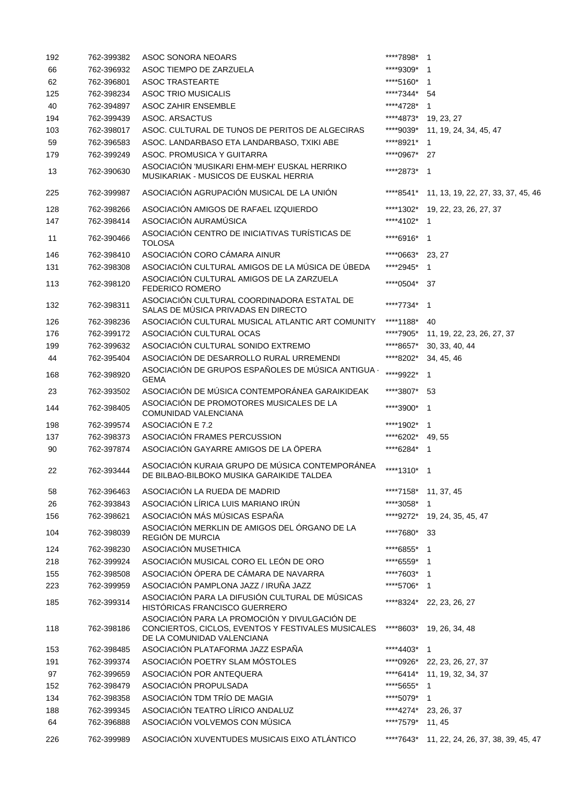| 192 | 762-399382 | <b>ASOC SONORA NEOARS</b>                                                                                                         | *****7898*  | $\mathbf{1}$                                 |
|-----|------------|-----------------------------------------------------------------------------------------------------------------------------------|-------------|----------------------------------------------|
| 66  | 762-396932 | ASOC TIEMPO DE ZARZUELA                                                                                                           | ****9309*   | $\mathbf{1}$                                 |
| 62  | 762-396801 | <b>ASOC TRASTEARTE</b>                                                                                                            | ****5160*   | $\mathbf{1}$                                 |
| 125 | 762-398234 | <b>ASOC TRIO MUSICALIS</b>                                                                                                        | ****7344*   | 54                                           |
| 40  | 762-394897 | <b>ASOC ZAHIR ENSEMBLE</b>                                                                                                        | ****4728*   | $\mathbf 1$                                  |
| 194 | 762-399439 | ASOC. ARSACTUS                                                                                                                    | ****4873*   | 19, 23, 27                                   |
| 103 | 762-398017 | ASOC. CULTURAL DE TUNOS DE PERITOS DE ALGECIRAS                                                                                   | ****9039*   | 11, 19, 24, 34, 45, 47                       |
| 59  | 762-396583 | ASOC. LANDARBASO ETA LANDARBASO, TXIKI ABE                                                                                        | ****8921*   | 1                                            |
|     |            |                                                                                                                                   |             |                                              |
| 179 | 762-399249 | ASOC. PROMUSICA Y GUITARRA                                                                                                        | ****0967*   | 27                                           |
| 13  | 762-390630 | ASOCIACIÓN 'MUSIKARI EHM-MEH' EUSKAL HERRIKO<br>MUSIKARIAK - MUSICOS DE EUSKAL HERRIA                                             | *****2873*  | $\overline{\phantom{1}}$                     |
| 225 | 762-399987 | ASOCIACIÓN AGRUPACIÓN MUSICAL DE LA UNIÓN                                                                                         | ****8541*   | 11, 13, 19, 22, 27, 33, 37, 45, 46           |
| 128 | 762-398266 | ASOCIACIÓN AMIGOS DE RAFAEL IZQUIERDO                                                                                             | ****1302*   | 19, 22, 23, 26, 27, 37                       |
| 147 | 762-398414 | ASOCIACIÓN AURAMÚSICA                                                                                                             | ****4102*   | $\mathbf{1}$                                 |
| 11  | 762-390466 | ASOCIACIÓN CENTRO DE INICIATIVAS TURÍSTICAS DE<br><b>TOLOSA</b>                                                                   | ****6916*   | $\overline{1}$                               |
| 146 | 762-398410 | ASOCIACIÓN CORO CÁMARA AINUR                                                                                                      | ****0663*   | 23, 27                                       |
| 131 | 762-398308 | ASOCIACIÓN CULTURAL AMIGOS DE LA MÚSICA DE ÚBEDA                                                                                  | *****2945*  | $\mathbf 1$                                  |
| 113 | 762-398120 | ASOCIACIÓN CULTURAL AMIGOS DE LA ZARZUELA<br><b>FEDERICO ROMERO</b>                                                               | ****0504*   | 37                                           |
| 132 | 762-398311 | ASOCIACIÓN CULTURAL COORDINADORA ESTATAL DE                                                                                       | ****7734*   | $\mathbf{1}$                                 |
|     |            | SALAS DE MÚSICA PRIVADAS EN DIRECTO                                                                                               |             |                                              |
| 126 | 762-398236 | ASOCIACIÓN CULTURAL MUSICAL ATLANTIC ART COMUNITY                                                                                 | ****1188*   | 40                                           |
| 176 | 762-399172 | ASOCIACIÓN CULTURAL OCAS                                                                                                          | ****7905*   | 11, 19, 22, 23, 26, 27, 37                   |
| 199 | 762-399632 | ASOCIACIÓN CULTURAL SONIDO EXTREMO                                                                                                | ****8657*   | 30, 33, 40, 44                               |
| 44  | 762-395404 | ASOCIACIÓN DE DESARROLLO RURAL URREMENDI                                                                                          | ****8202*   | 34, 45, 46                                   |
| 168 | 762-398920 | ASOCIACIÓN DE GRUPOS ESPAÑOLES DE MÚSICA ANTIGUA -<br><b>GEMA</b>                                                                 | ****9922*   | $\mathbf{1}$                                 |
| 23  | 762-393502 | ASOCIACIÓN DE MÚSICA CONTEMPORÁNEA GARAIKIDEAK                                                                                    | ****3807*   | 53                                           |
| 144 | 762-398405 | ASOCIACIÓN DE PROMOTORES MUSICALES DE LA<br>COMUNIDAD VALENCIANA                                                                  | *****3900*  | $\overline{1}$                               |
| 198 | 762-399574 | ASOCIACIÓN E 7.2                                                                                                                  | ****1902*   | $\overline{1}$                               |
| 137 | 762-398373 | ASOCIACIÓN FRAMES PERCUSSION                                                                                                      | ****6202*   | 49, 55                                       |
| 90  | 762-397874 | ASOCIACIÓN GAYARRE AMIGOS DE LA ÖPERA                                                                                             | ****6284*   | $\overline{1}$                               |
|     |            |                                                                                                                                   |             |                                              |
| 22  | 762-393444 | ASOCIACIÓN KURAIA GRUPO DE MÚSICA CONTEMPORÁNEA<br>DE BILBAO-BILBOKO MUSIKA GARAIKIDE TALDEA                                      | ****1310* 1 |                                              |
| 58  | 762-396463 | ASOCIACIÓN LA RUEDA DE MADRID                                                                                                     |             | ****7158* 11, 37, 45                         |
| 26  | 762-393843 | ASOCIACIÓN LÍRICA LUIS MARIANO IRÚN                                                                                               | ****3058*   | 1                                            |
| 156 | 762-398621 | ASOCIACIÓN MÁS MÚSICAS ESPAÑA                                                                                                     | ****9272*   | 19, 24, 35, 45, 47                           |
|     |            | ASOCIACIÓN MERKLIN DE AMIGOS DEL ÓRGANO DE LA                                                                                     |             |                                              |
| 104 | 762-398039 | REGIÓN DE MURCIA                                                                                                                  | *****7680*  | 33                                           |
| 124 | 762-398230 | ASOCIACIÓN MUSETHICA                                                                                                              | ****6855*   | $\overline{\mathbf{1}}$                      |
| 218 | 762-399924 | ASOCIACIÓN MUSICAL CORO EL LEÓN DE ORO                                                                                            | ****6559*   | $\overline{1}$                               |
| 155 | 762-398508 | ASOCIACIÓN ÓPERA DE CÁMARA DE NAVARRA                                                                                             | ****7603*   | $\overline{1}$                               |
| 223 | 762-399959 | ASOCIACIÓN PAMPLONA JAZZ / IRUÑA JAZZ                                                                                             | ****5706*   | $\overline{1}$                               |
| 185 | 762-399314 | ASOCIACIÓN PARA LA DIFUSIÓN CULTURAL DE MÚSICAS<br>HISTÓRICAS FRANCISCO GUERRERO                                                  | ****8324*   | 22, 23, 26, 27                               |
| 118 | 762-398186 | ASOCIACIÓN PARA LA PROMOCIÓN Y DIVULGACIÓN DE<br>CONCIERTOS, CICLOS, EVENTOS Y FESTIVALES MUSICALES<br>DE LA COMUNIDAD VALENCIANA |             | ****8603* 19, 26, 34, 48                     |
| 153 | 762-398485 | ASOCIACIÓN PLATAFORMA JAZZ ESPAÑA                                                                                                 | ****4403*   | $\mathbf{1}$                                 |
| 191 | 762-399374 | ASOCIACIÓN POETRY SLAM MÓSTOLES                                                                                                   | ****0926*   | 22, 23, 26, 27, 37                           |
| 97  | 762-399659 | ASOCIACIÓN POR ANTEQUERA                                                                                                          | ****6414*   | 11, 19, 32, 34, 37                           |
| 152 | 762-398479 | ASOCIACIÓN PROPULSADA                                                                                                             | ****5655*   | $\mathbf 1$                                  |
|     |            | ASOCIACIÓN TDM TRÍO DE MAGIA                                                                                                      |             |                                              |
| 134 | 762-398358 |                                                                                                                                   | ****5079*   | $\mathbf 1$                                  |
| 188 | 762-399345 | ASOCIACIÓN TEATRO LÍRICO ANDALUZ                                                                                                  | ****4274*   | 23, 26, 37                                   |
| 64  | 762-396888 | ASOCIACIÓN VOLVEMOS CON MÚSICA                                                                                                    | ****7579*   | 11, 45                                       |
| 226 | 762-399989 | ASOCIACIÓN XUVENTUDES MUSICAIS EIXO ATLÁNTICO                                                                                     |             | ****7643* 11, 22, 24, 26, 37, 38, 39, 45, 47 |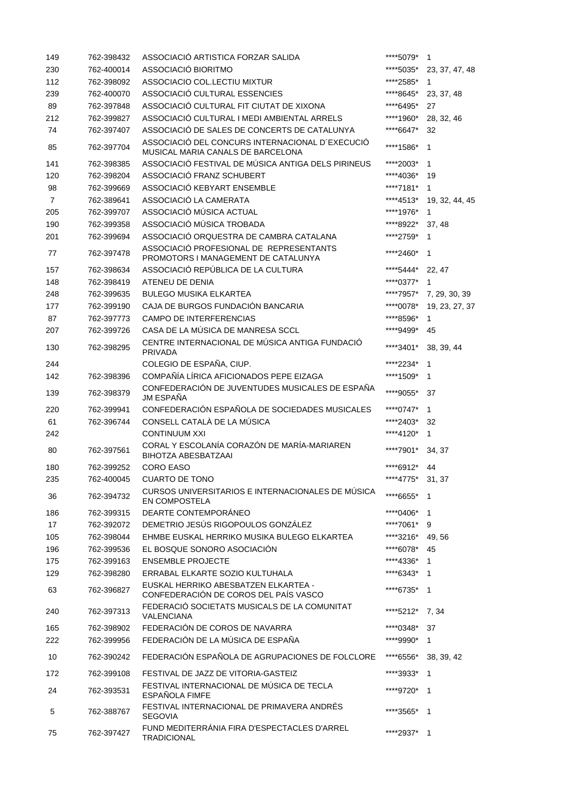| 149            | 762-398432               | ASSOCIACIÓ ARTISTICA FORZAR SALIDA                                                    | ****5079*              | 1              |
|----------------|--------------------------|---------------------------------------------------------------------------------------|------------------------|----------------|
| 230            | 762-400014               | ASSOCIACIÓ BIORITMO                                                                   | ****5035*              | 23, 37, 47, 48 |
| 112            | 762-398092               | ASSOCIACIO COL.LECTIU MIXTUR                                                          | ****2585*              | 1              |
| 239            | 762-400070               | ASSOCIACIÓ CULTURAL ESSENCIES                                                         | ****8645*              | 23, 37, 48     |
| 89             | 762-397848               | ASSOCIACIÓ CULTURAL FIT CIUTAT DE XIXONA                                              | ****6495*              | 27             |
| 212            | 762-399827               | ASSOCIACIÓ CULTURAL I MEDI AMBIENTAL ARRELS                                           | ****1960*              | 28, 32, 46     |
| 74             | 762-397407               | ASSOCIACIÓ DE SALES DE CONCERTS DE CATALUNYA                                          | ****6647*              | 32             |
| 85             | 762-397704               | ASSOCIACIÓ DEL CONCURS INTERNACIONAL D'EXECUCIÓ<br>MUSICAL MARIA CANALS DE BARCELONA  | ****1586*              | 1              |
| 141            | 762-398385               | ASSOCIACIÓ FESTIVAL DE MÚSICA ANTIGA DELS PIRINEUS                                    | *****2003*             | 1              |
| 120            | 762-398204               | ASSOCIACIÓ FRANZ SCHUBERT                                                             | ****4036*              | 19             |
| 98             | 762-399669               | ASSOCIACIÓ KEBYART ENSEMBLE                                                           | ****7181*              | 1              |
| $\overline{7}$ | 762-389641               | ASSOCIACIÓ LA CAMERATA                                                                | ****4513*              | 19, 32, 44, 45 |
| 205            | 762-399707               | ASSOCIACIÓ MÚSICA ACTUAL                                                              | ****1976*              | 1              |
| 190            | 762-399358               | ASSOCIACIÓ MÚSICA TROBADA                                                             | ****8922*              | 37, 48         |
|                | 762-399694               | ASSOCIACIÓ ORQUESTRA DE CAMBRA CATALANA                                               |                        |                |
| 201            |                          | ASSOCIACIÓ PROFESIONAL DE REPRESENTANTS                                               | ****2759*              | 1              |
| 77             | 762-397478               | PROMOTORS I MANAGEMENT DE CATALUNYA                                                   | *****2460*             | 1              |
| 157            | 762-398634               | ASSOCIACIÓ REPÚBLICA DE LA CULTURA                                                    | ****5444*              | 22, 47         |
| 148            | 762-398419               | ATENEU DE DENIA                                                                       | ****0377*              | 1              |
| 248            | 762-399635               | <b>BULEGO MUSIKA ELKARTEA</b>                                                         | ****7957*              | 7, 29, 30, 39  |
| 177            | 762-399190               | CAJA DE BURGOS FUNDACIÓN BANCARIA                                                     | ****0078*              | 19, 23, 27, 37 |
| 87             | 762-397773               | CAMPO DE INTERFERENCIAS                                                               | ****8596*              | 1              |
| 207            | 762-399726               | CASA DE LA MÚSICA DE MANRESA SCCL                                                     | ****9499*              | 45             |
| 130            | 762-398295               | CENTRE INTERNACIONAL DE MÚSICA ANTIGA FUNDACIÓ<br><b>PRIVADA</b>                      | ****3401*              | 38, 39, 44     |
| 244            |                          | COLEGIO DE ESPAÑA, CIUP.                                                              | *****2234*             | 1              |
| 142            | 762-398396               | COMPAÑÍA LÍRICA AFICIONADOS PEPE EIZAGA                                               | ****1509*              | 1              |
| 139            | 762-398379               | CONFEDERACIÓN DE JUVENTUDES MUSICALES DE ESPAÑA<br><b>JM ESPAÑA</b>                   | ****9055*              | 37             |
| 220            | 762-399941               | CONFEDERACIÓN ESPAÑOLA DE SOCIEDADES MUSICALES                                        | ****0747*              | 1              |
| 61             | 762-396744               | CONSELL CATALÀ DE LA MÚSICA                                                           | ****2403*              | 32             |
| 242            |                          | <b>CONTINUUM XXI</b>                                                                  | ****4120*              | 1              |
| 80             | 762-397561               | CORAL Y ESCOLANÍA CORAZÓN DE MARÍA-MARIAREN<br><b>BIHOTZA ABESBATZAAI</b>             | ****7901*              | 34, 37         |
| 180            | 762-399252               | <b>CORO EASO</b>                                                                      | ****6912*              | 44             |
| 235            | 762-400045               | <b>CUARTO DE TONO</b>                                                                 | ****4775*              | 31, 37         |
| 36             | 762-394732               | CURSOS UNIVERSITARIOS E INTERNACIONALES DE MÚSICA<br><b>EN COMPOSTELA</b>             | ****6655*              | 1              |
| 186            | 762-399315               | DEARTE CONTEMPORÁNEO                                                                  | ****0406*              | $\mathbf{1}$   |
| 17             | 762-392072               | DEMETRIO JESÚS RIGOPOULOS GONZÁLEZ                                                    | ****7061*              | 9              |
| 105            | 762-398044               | EHMBE EUSKAL HERRIKO MUSIKA BULEGO ELKARTEA                                           | ****3216*              | 49, 56         |
| 196            | 762-399536               | EL BOSQUE SONORO ASOCIACIÓN                                                           | ****6078*              | 45             |
|                |                          |                                                                                       |                        |                |
| 175            | 762-399163               | <b>ENSEMBLE PROJECTE</b>                                                              | ****4336*              | 1              |
| 129            | 762-398280               | ERRABAL ELKARTE SOZIO KULTUHALA<br>EUSKAL HERRIKO ABESBATZEN ELKARTEA -               | ****6343*<br>****6735* | $\mathbf 1$    |
| 63             | 762-396827               | CONFEDERACIÓN DE COROS DEL PAÍS VASCO<br>FEDERACIÓ SOCIETATS MUSICALS DE LA COMUNITAT |                        | 1              |
| 240            | 762-397313<br>762-398902 | <b>VALENCIANA</b><br>FEDERACIÓN DE COROS DE NAVARRA                                   | ****5212*<br>****0348* | 7,34<br>37     |
| 165            |                          |                                                                                       |                        |                |
| 222            | 762-399956               | FEDERACIÓN DE LA MÚSICA DE ESPAÑA                                                     | ****9990*              | 1              |
| 10             | 762-390242               | FEDERACIÓN ESPAÑOLA DE AGRUPACIONES DE FOLCLORE                                       | ****6556*              | 38, 39, 42     |
| 172            | 762-399108               | FESTIVAL DE JAZZ DE VITORIA-GASTEIZ                                                   | ****3933*              | $\mathbf 1$    |
| 24             | 762-393531               | FESTIVAL INTERNACIONAL DE MÚSICA DE TECLA<br><b>ESPAÑOLA FIMFE</b>                    | ****9720*              | $\mathbf 1$    |
| 5              | 762-388767               | FESTIVAL INTERNACIONAL DE PRIMAVERA ANDRÉS<br><b>SEGOVIA</b>                          | ****3565*              | 1              |
| 75             | 762-397427               | FUND MEDITERRÁNIA FIRA D'ESPECTACLES D'ARREL<br><b>TRADICIONAL</b>                    | ****2937*              | 1              |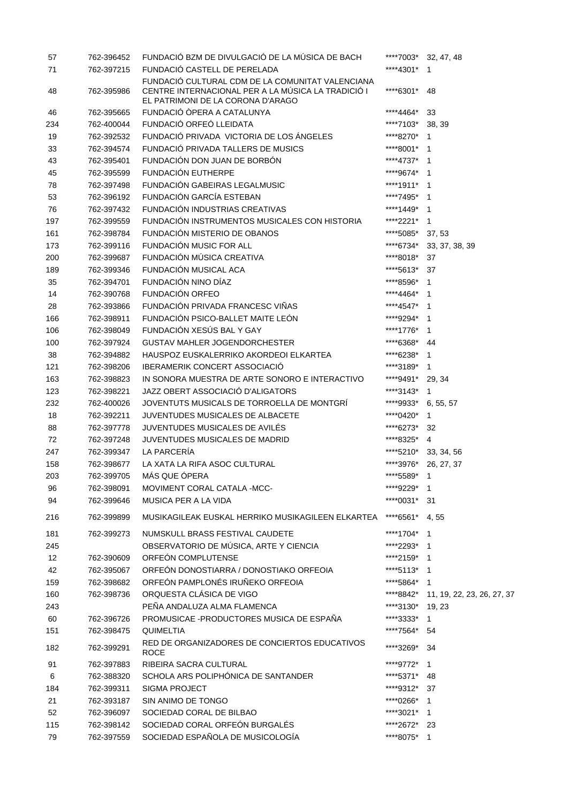| 57  | 762-396452 | FUNDACIÓ BZM DE DIVULGACIÓ DE LA MÚSICA DE BACH                                                                                             |                  | ****7003* 32, 47, 48                 |
|-----|------------|---------------------------------------------------------------------------------------------------------------------------------------------|------------------|--------------------------------------|
| 71  | 762-397215 | FUNDACIÓ CASTELL DE PERELADA                                                                                                                | ****4301*        | $\overline{\phantom{1}}$             |
| 48  | 762-395986 | FUNDACIÓ CULTURAL CDM DE LA COMUNITAT VALENCIANA<br>CENTRE INTERNACIONAL PER A LA MÚSICA LA TRADICIÓ I<br>EL PATRIMONI DE LA CORONA D'ARAGO | ****6301*        | 48                                   |
| 46  | 762-395665 | FUNDACIÓ ÒPERA A CATALUNYA                                                                                                                  | ****4464*        | 33                                   |
| 234 | 762-400044 | FUNDACIÓ ORFEÓ LLEIDATA                                                                                                                     | ****7103*        | 38, 39                               |
| 19  | 762-392532 | FUNDACIÓ PRIVADA VICTORIA DE LOS ÁNGELES                                                                                                    | ****8270*        | 1                                    |
| 33  | 762-394574 | FUNDACIÓ PRIVADA TALLERS DE MUSICS                                                                                                          | ****8001* 1      |                                      |
| 43  | 762-395401 | FUNDACIÓN DON JUAN DE BORBÓN                                                                                                                | ****4737*        | - 1                                  |
| 45  | 762-395599 | FUNDACIÓN EUTHERPE                                                                                                                          | ****9674*        | $\overline{1}$                       |
| 78  | 762-397498 | FUNDACIÓN GABEIRAS LEGALMUSIC                                                                                                               | ****1911*        | -1                                   |
| 53  | 762-396192 | FUNDACIÓN GARCÍA ESTEBAN                                                                                                                    | ****7495*        | -1                                   |
| 76  | 762-397432 | FUNDACIÓN INDUSTRIAS CREATIVAS                                                                                                              | ****1449*        | $\mathbf{1}$                         |
| 197 | 762-399559 | FUNDACIÓN INSTRUMENTOS MUSICALES CON HISTORIA                                                                                               | ****2221*        | $\mathbf 1$                          |
| 161 | 762-398784 | FUNDACIÓN MISTERIO DE OBANOS                                                                                                                | ****5085*        | 37, 53                               |
| 173 | 762-399116 | FUNDACIÓN MUSIC FOR ALL                                                                                                                     | ****6734*        | 33, 37, 38, 39                       |
| 200 | 762-399687 | FUNDACIÓN MÚSICA CREATIVA                                                                                                                   | ****8018*        | 37                                   |
| 189 | 762-399346 | FUNDACIÓN MUSICAL ACA                                                                                                                       | ****5613*        | 37                                   |
| 35  | 762-394701 | FUNDACIÓN NINO DÍAZ                                                                                                                         | ****8596*        | $\mathbf{1}$                         |
| 14  | 762-390768 | <b>FUNDACIÓN ORFEO</b>                                                                                                                      | ****4464*        | 1                                    |
| 28  | 762-393866 | FUNDACIÓN PRIVADA FRANCESC VIÑAS                                                                                                            | ****4547*        | 1                                    |
| 166 | 762-398911 | FUNDACIÓN PSICO-BALLET MAITE LEÓN                                                                                                           | ****9294*        | 1                                    |
| 106 | 762-398049 | FUNDACIÓN XESÚS BAL Y GAY                                                                                                                   | ****1776*        | $\mathbf 1$                          |
| 100 | 762-397924 | <b>GUSTAV MAHLER JOGENDORCHESTER</b>                                                                                                        | ****6368*        | 44                                   |
| 38  | 762-394882 | HAUSPOZ EUSKALERRIKO AKORDEOI ELKARTEA                                                                                                      | ****6238*        | $\mathbf{1}$                         |
| 121 | 762-398206 | <b>IBERAMERIK CONCERT ASSOCIACIÓ</b>                                                                                                        | ****3189* 1      |                                      |
| 163 | 762-398823 | IN SONORA MUESTRA DE ARTE SONORO E INTERACTIVO                                                                                              | ****9491*        | 29, 34                               |
| 123 | 762-398221 | JAZZ OBERT ASSOCIACIÓ D'ALIGATORS                                                                                                           | ****3143*        | $\mathbf{1}$                         |
| 232 | 762-400026 | JOVENTUTS MUSICALS DE TORROELLA DE MONTGRÍ                                                                                                  | ****9933*        | 6, 55, 57                            |
| 18  | 762-392211 | JUVENTUDES MUSICALES DE ALBACETE                                                                                                            | ****0420*        | $\mathbf{1}$                         |
| 88  | 762-397778 | JUVENTUDES MUSICALES DE AVILÉS                                                                                                              | ****6273*        | 32                                   |
| 72  | 762-397248 | JUVENTUDES MUSICALES DE MADRID                                                                                                              | ****8325*        | $\overline{4}$                       |
| 247 | 762-399347 | LA PARCERÍA                                                                                                                                 |                  | ****5210* 33, 34, 56                 |
| 158 | 762-398677 | LA XATA LA RIFA ASOC CULTURAL                                                                                                               |                  | ****3976* 26, 27, 37                 |
| 203 | 762-399705 | MÁS QUE ÓPERA                                                                                                                               | ****5589* 1      |                                      |
| 96  | 762-398091 | MOVIMENT CORAL CATALA -MCC-                                                                                                                 | ****9229*        | $\mathbf{1}$                         |
| 94  | 762-399646 | MUSICA PER A LA VIDA                                                                                                                        | ****0031*        | -31                                  |
| 216 | 762-399899 | MUSIKAGILEAK EUSKAL HERRIKO MUSIKAGILEEN ELKARTEA                                                                                           | ****6561*        | 4,55                                 |
| 181 | 762-399273 | NUMSKULL BRASS FESTIVAL CAUDETE                                                                                                             | ****1704* 1      |                                      |
| 245 |            | OBSERVATORIO DE MÚSICA, ARTE Y CIENCIA                                                                                                      | ****2293* 1      |                                      |
| 12  | 762-390609 | ORFEÓN COMPLUTENSE                                                                                                                          | ****2159* 1      |                                      |
| 42  | 762-395067 | ORFEÓN DONOSTIARRA / DONOSTIAKO ORFEOIA                                                                                                     | ****5113* 1      |                                      |
| 159 | 762-398682 | ORFEÓN PAMPLONÉS IRUÑEKO ORFEOIA                                                                                                            | ****5864* 1      |                                      |
| 160 | 762-398736 | ORQUESTA CLÁSICA DE VIGO                                                                                                                    |                  | ****8842* 11, 19, 22, 23, 26, 27, 37 |
| 243 |            | PEÑA ANDALUZA ALMA FLAMENCA                                                                                                                 | ****3130* 19, 23 |                                      |
| 60  | 762-396726 | PROMUSICAE - PRODUCTORES MUSICA DE ESPAÑA                                                                                                   | ****3333* 1      |                                      |
| 151 | 762-398475 | <b>QUIMELTIA</b>                                                                                                                            | ****7564*        | -54                                  |
| 182 | 762-399291 | RED DE ORGANIZADORES DE CONCIERTOS EDUCATIVOS<br><b>ROCE</b>                                                                                | ****3269*        | 34                                   |
| 91  | 762-397883 | RIBEIRA SACRA CULTURAL                                                                                                                      | ****9772* 1      |                                      |
| 6   | 762-388320 | SCHOLA ARS POLIPHÓNICA DE SANTANDER                                                                                                         | ****5371*        | -48                                  |
| 184 | 762-399311 | <b>SIGMA PROJECT</b>                                                                                                                        | ****9312* 37     |                                      |
| 21  | 762-393187 | SIN ANIMO DE TONGO                                                                                                                          | ****0266*        | $\mathbf{1}$                         |
| 52  | 762-396097 | SOCIEDAD CORAL DE BILBAO                                                                                                                    | ****3021* 1      |                                      |
| 115 | 762-398142 | SOCIEDAD CORAL ORFEÓN BURGALÉS                                                                                                              | ****2672* 23     |                                      |
| 79  | 762-397559 | SOCIEDAD ESPAÑOLA DE MUSICOLOGÍA                                                                                                            | ****8075* 1      |                                      |
|     |            |                                                                                                                                             |                  |                                      |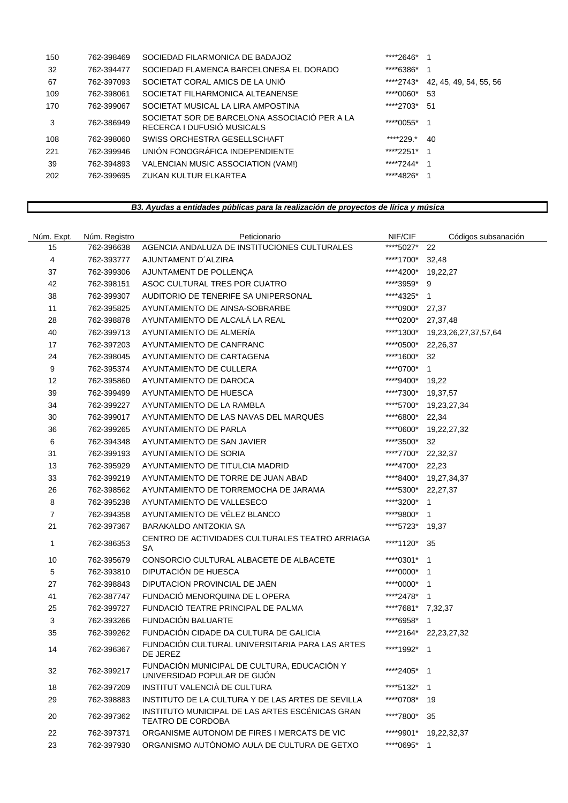| 150 | 762-398469 | SOCIEDAD FILARMONICA DE BADAJOZ                                             | *****2646*   |                        |
|-----|------------|-----------------------------------------------------------------------------|--------------|------------------------|
| 32  | 762-394477 | SOCIEDAD FLAMENCA BARCELONESA EL DORADO                                     | ****6386*    |                        |
| 67  | 762-397093 | SOCIETAT CORAL AMICS DE LA UNIÓ                                             | *****2743*   | 42, 45, 49, 54, 55, 56 |
| 109 | 762-398061 | SOCIETAT FILHARMONICA ALTEANENSE                                            | ****0060*    | 53                     |
| 170 | 762-399067 | SOCIETAT MUSICAL LA LIRA AMPOSTINA                                          | ****2703* 51 |                        |
| 3   | 762-386949 | SOCIETAT SOR DE BARCELONA ASSOCIACIÓ PER A LA<br>RECERCA I DUFUSIÓ MUSICALS | ****0055*    |                        |
| 108 | 762-398060 | SWISS ORCHESTRA GESELLSCHAFT                                                | *****229.*   | 40                     |
| 221 | 762-399946 | UNIÓN FONOGRÁFICA INDEPENDIENTE                                             | ****2251*    | - 1                    |
| 39  | 762-394893 | VALENCIAN MUSIC ASSOCIATION (VAM!)                                          | ****7244*    |                        |
| 202 | 762-399695 | ZUKAN KULTUR ELKARTEA                                                       | ****4826*    |                        |
|     |            |                                                                             |              |                        |

## *B3. Ayudas a entidades públicas para la realización de proyectos de lírica y música*

| Núm. Expt.     | Núm. Registro | Peticionario                                                                | NIF/CIF           | Códigos subsanación   |
|----------------|---------------|-----------------------------------------------------------------------------|-------------------|-----------------------|
| 15             | 762-396638    | AGENCIA ANDALUZA DE INSTITUCIONES CULTURALES                                | ****5027*         | 22                    |
| 4              | 762-393777    | AJUNTAMENT D'ALZIRA                                                         | ****1700*         | 32,48                 |
| 37             | 762-399306    | AJUNTAMENT DE POLLENÇA                                                      | ****4200*         | 19,22,27              |
| 42             | 762-398151    | ASOC CULTURAL TRES POR CUATRO                                               | ****3959* 9       |                       |
| 38             | 762-399307    | AUDITORIO DE TENERIFE SA UNIPERSONAL                                        | ****4325*         | $\mathbf{1}$          |
| 11             | 762-395825    | AYUNTAMIENTO DE AINSA-SOBRARBE                                              | ****0900*         | 27,37                 |
| 28             | 762-398878    | AYUNTAMIENTO DE ALCALA LA REAL                                              | ****0200*         | 27,37,48              |
| 40             | 762-399713    | AYUNTAMIENTO DE ALMERÍA                                                     | ****1300*         | 19,23,26,27,37,57,64  |
| 17             | 762-397203    | AYUNTAMIENTO DE CANFRANC                                                    | ****0500*         | 22,26,37              |
| 24             | 762-398045    | AYUNTAMIENTO DE CARTAGENA                                                   | ****1600*         | 32                    |
| 9              | 762-395374    | AYUNTAMIENTO DE CULLERA                                                     | ****0700*         | $\mathbf{1}$          |
| 12             | 762-395860    | AYUNTAMIENTO DE DAROCA                                                      | ****9400*         | 19,22                 |
| 39             | 762-399499    | AYUNTAMIENTO DE HUESCA                                                      | ****7300*         | 19,37,57              |
| 34             | 762-399227    | AYUNTAMIENTO DE LA RAMBLA                                                   | ****5700*         | 19,23,27,34           |
| 30             | 762-399017    | AYUNTAMIENTO DE LAS NAVAS DEL MARQUÉS                                       | ****6800*         | 22,34                 |
| 36             | 762-399265    | AYUNTAMIENTO DE PARLA                                                       | ****0600*         | 19,22,27,32           |
| 6              | 762-394348    | AYUNTAMIENTO DE SAN JAVIER                                                  | ****3500*         | 32                    |
| 31             | 762-399193    | AYUNTAMIENTO DE SORIA                                                       | ****7700*         | 22,32,37              |
| 13             | 762-395929    | AYUNTAMIENTO DE TITULCIA MADRID                                             | ****4700*         | 22,23                 |
| 33             | 762-399219    | AYUNTAMIENTO DE TORRE DE JUAN ABAD                                          | ****8400*         | 19,27,34,37           |
| 26             | 762-398562    | AYUNTAMIENTO DE TORREMOCHA DE JARAMA                                        | *****5300*        | 22,27,37              |
| 8              | 762-395238    | AYUNTAMIENTO DE VALLESECO                                                   | *****3200*        | $\overline{1}$        |
| $\overline{7}$ | 762-394358    | AYUNTAMIENTO DE VÉLEZ BLANCO                                                | ****9800*         | $\overline{1}$        |
| 21             | 762-397367    | BARAKALDO ANTZOKIA SA                                                       | ****5723*         | 19,37                 |
| 1              | 762-386353    | CENTRO DE ACTIVIDADES CULTURALES TEATRO ARRIAGA<br>SA                       | ****1120*         | 35                    |
| 10             | 762-395679    | CONSORCIO CULTURAL ALBACETE DE ALBACETE                                     | ****0301*         | $\overline{1}$        |
| 5              | 762-393810    | DIPUTACIÓN DE HUESCA                                                        | ****0000*         | $\overline{1}$        |
| 27             | 762-398843    | DIPUTACION PROVINCIAL DE JAÉN                                               | ****0000*         | $\mathbf{1}$          |
| 41             | 762-387747    | FUNDACIÓ MENORQUINA DE LOPERA                                               | ****2478* 1       |                       |
| 25             | 762-399727    | FUNDACIÓ TEATRE PRINCIPAL DE PALMA                                          | ****7681* 7,32,37 |                       |
| 3              | 762-393266    | FUNDACIÓN BALUARTE                                                          | ****6958*         | $\mathbf 1$           |
| 35             | 762-399262    | FUNDACIÓN CIDADE DA CULTURA DE GALICIA                                      |                   | ****2164* 22,23,27,32 |
| 14             | 762-396367    | FUNDACIÓN CULTURAL UNIVERSITARIA PARA LAS ARTES<br>DE JEREZ                 | ****1992* 1       |                       |
| 32             | 762-399217    | FUNDACIÓN MUNICIPAL DE CULTURA, EDUCACIÓN Y<br>UNIVERSIDAD POPULAR DE GIJÓN | ****2405* 1       |                       |
| 18             | 762-397209    | INSTITUT VALENCIÀ DE CULTURA                                                | ****5132*         | $\mathbf{1}$          |
| 29             | 762-398883    | INSTITUTO DE LA CULTURA Y DE LAS ARTES DE SEVILLA                           | ****0708*         | - 19                  |
| 20             | 762-397362    | INSTITUTO MUNICIPAL DE LAS ARTES ESCÉNICAS GRAN<br><b>TEATRO DE CORDOBA</b> | *****7800*        | 35                    |
| 22             | 762-397371    | ORGANISME AUTONOM DE FIRES I MERCATS DE VIC                                 | ****9901*         | 19,22,32,37           |
| 23             | 762-397930    | ORGANISMO AUTÓNOMO AULA DE CULTURA DE GETXO                                 | ****0695* 1       |                       |